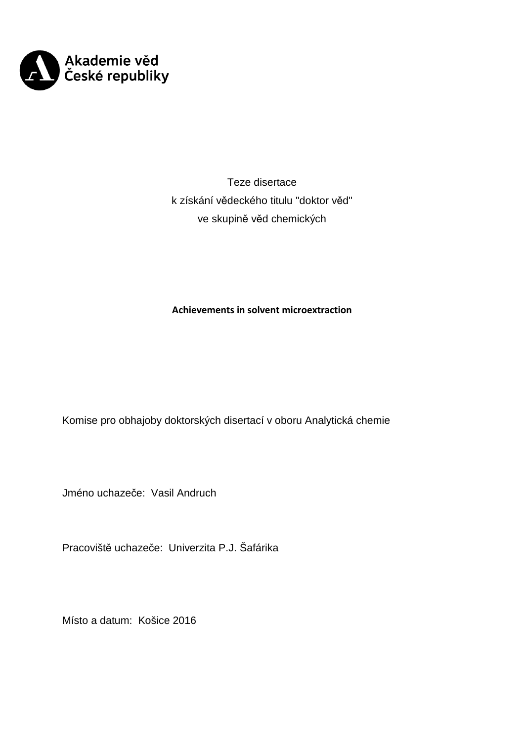

Teze disertace k získání vědeckého titulu "doktor věd" ve skupině věd chemických

# **Achievements in solvent microextraction**

Komise pro obhajoby doktorských disertací v oboru Analytická chemie

Jméno uchazeče: Vasil Andruch

Pracoviště uchazeče: Univerzita P.J. Šafárika

Místo a datum: Košice 2016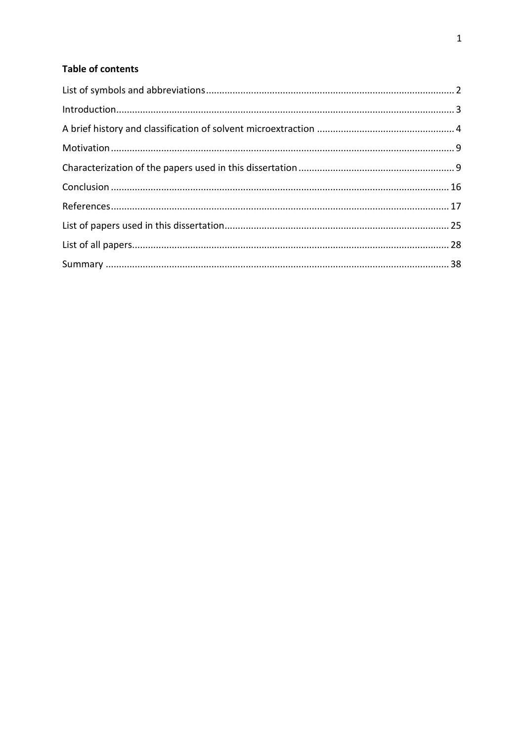# **Table of contents**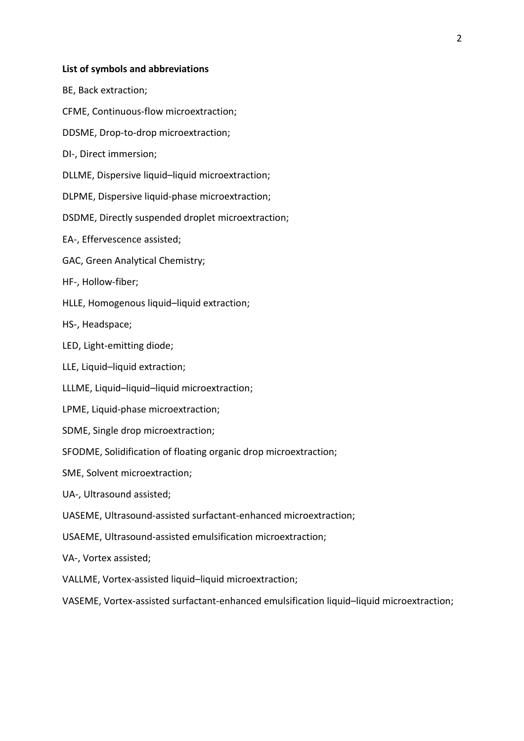# **List of symbols and abbreviations**

BE, Back extraction;

CFME, Continuous-flow microextraction;

DDSME, Drop-to-drop microextraction;

DI-, Direct immersion;

DLLME, Dispersive liquid–liquid microextraction;

DLPME, Dispersive liquid-phase microextraction;

DSDME, Directly suspended droplet microextraction;

EA-, Effervescence assisted;

GAC, Green Analytical Chemistry;

HF-, Hollow-fiber;

HLLE, Homogenous liquid–liquid extraction;

HS-, Headspace;

LED, Light-emitting diode;

LLE, Liquid–liquid extraction;

LLLME, Liquid–liquid–liquid microextraction;

LPME, Liquid-phase microextraction;

SDME, Single drop microextraction;

SFODME, Solidification of floating organic drop microextraction;

SME, Solvent microextraction;

UA-, Ultrasound assisted;

UASEME, Ultrasound-assisted surfactant-enhanced microextraction;

USAEME, Ultrasound-assisted emulsification microextraction;

VA-, Vortex assisted;

VALLME, Vortex-assisted liquid–liquid microextraction;

VASEME, Vortex-assisted surfactant-enhanced emulsification liquid–liquid microextraction;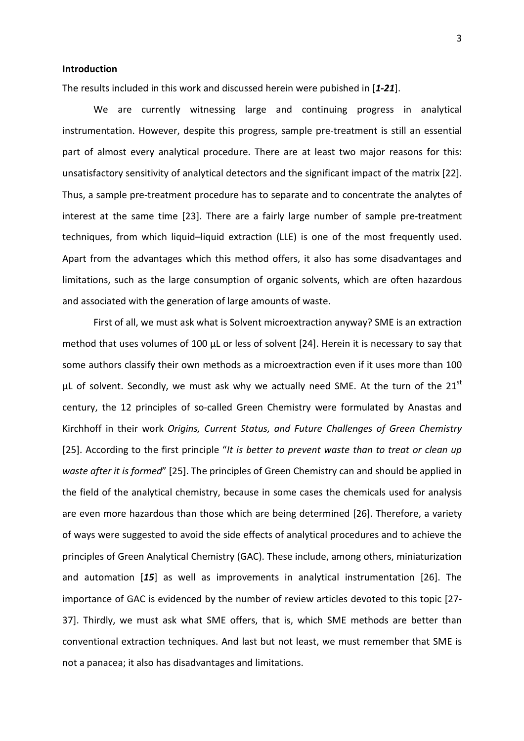# **Introduction**

The results included in this work and discussed herein were pubished in [*1-21*].

We are currently witnessing large and continuing progress in analytical instrumentation. However, despite this progress, sample pre-treatment is still an essential part of almost every analytical procedure. There are at least two major reasons for this: unsatisfactory sensitivity of analytical detectors and the significant impact of the matrix [22]. Thus, a sample pre-treatment procedure has to separate and to concentrate the analytes of interest at the same time [23]. There are a fairly large number of sample pre-treatment techniques, from which liquid–liquid extraction (LLE) is one of the most frequently used. Apart from the advantages which this method offers, it also has some disadvantages and limitations, such as the large consumption of organic solvents, which are often hazardous and associated with the generation of large amounts of waste.

First of all, we must ask what is Solvent microextraction anyway? SME is an extraction method that uses volumes of 100 μL or less of solvent [24]. Herein it is necessary to say that some authors classify their own methods as a microextraction even if it uses more than 100 μL of solvent. Secondly, we must ask why we actually need SME. At the turn of the  $21^{st}$ century, the 12 principles of so-called Green Chemistry were formulated by Anastas and Kirchhoff in their work *Origins, Current Status, and Future Challenges of Green Chemistry* [25]. According to the first principle "*It is better to prevent waste than to treat or clean up waste after it is formed*" [25]. The principles of Green Chemistry can and should be applied in the field of the analytical chemistry, because in some cases the chemicals used for analysis are even more hazardous than those which are being determined [26]. Therefore, a variety of ways were suggested to avoid the side effects of analytical procedures and to achieve the principles of Green Analytical Chemistry (GAC). These include, among others, miniaturization and automation [*15*] as well as improvements in analytical instrumentation [26]. The importance of GAC is evidenced by the number of review articles devoted to this topic [27- 37]. Thirdly, we must ask what SME offers, that is, which SME methods are better than conventional extraction techniques. And last but not least, we must remember that SME is not a panacea; it also has disadvantages and limitations.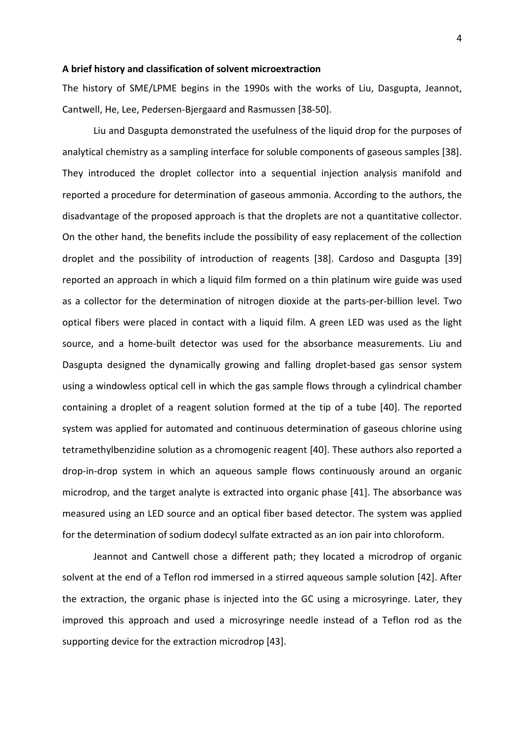### **A brief history and classification of solvent microextraction**

The history of SME/LPME begins in the 1990s with the works of Liu, Dasgupta, Jeannot, Cantwell, He, Lee, Pedersen-Bjergaard and Rasmussen [38-50].

Liu and Dasgupta demonstrated the usefulness of the liquid drop for the purposes of analytical chemistry as a sampling interface for soluble components of gaseous samples [38]. They introduced the droplet collector into a sequential injection analysis manifold and reported a procedure for determination of gaseous ammonia. According to the authors, the disadvantage of the proposed approach is that the droplets are not a quantitative collector. On the other hand, the benefits include the possibility of easy replacement of the collection droplet and the possibility of introduction of reagents [38]. Cardoso and Dasgupta [39] reported an approach in which a liquid film formed on a thin platinum wire guide was used as a collector for the determination of nitrogen dioxide at the parts-per-billion level. Two optical fibers were placed in contact with a liquid film. A green LED was used as the light source, and a home-built detector was used for the absorbance measurements. Liu and Dasgupta designed the dynamically growing and falling droplet-based gas sensor system using a windowless optical cell in which the gas sample flows through a cylindrical chamber containing a droplet of a reagent solution formed at the tip of a tube [40]. The reported system was applied for automated and continuous determination of gaseous chlorine using tetramethylbenzidine solution as a chromogenic reagent [40]. These authors also reported a drop-in-drop system in which an aqueous sample flows continuously around an organic microdrop, and the target analyte is extracted into organic phase [41]. The absorbance was measured using an LED source and an optical fiber based detector. The system was applied for the determination of sodium dodecyl sulfate extracted as an ion pair into chloroform.

Jeannot and Cantwell chose a different path; they located a microdrop of organic solvent at the end of a Teflon rod immersed in a stirred aqueous sample solution [42]. After the extraction, the organic phase is injected into the GC using a microsyringe. Later, they improved this approach and used a microsyringe needle instead of a Teflon rod as the supporting device for the extraction microdrop [43].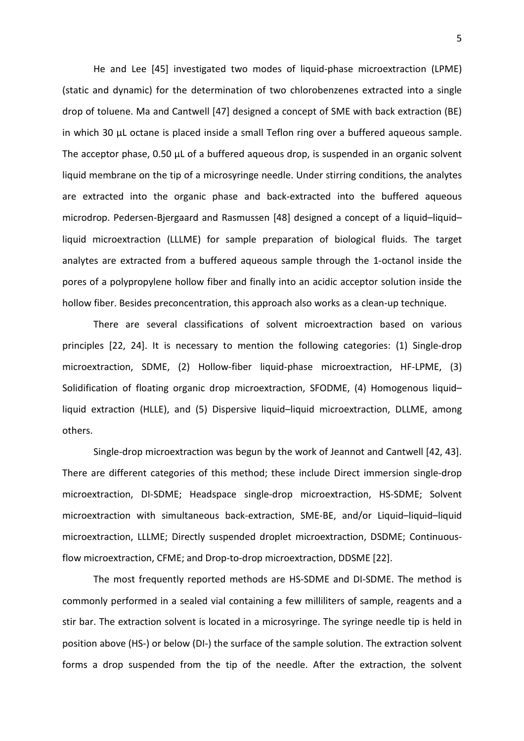He and Lee [45] investigated two modes of liquid-phase microextraction (LPME) (static and dynamic) for the determination of two chlorobenzenes extracted into a single drop of toluene. Ma and Cantwell [47] designed a concept of SME with back extraction (BE) in which 30 μL octane is placed inside a small Teflon ring over a buffered aqueous sample. The acceptor phase, 0.50 μL of a buffered aqueous drop, is suspended in an organic solvent liquid membrane on the tip of a microsyringe needle. Under stirring conditions, the analytes are extracted into the organic phase and back-extracted into the buffered aqueous microdrop. Pedersen-Bjergaard and Rasmussen [48] designed a concept of a liquid–liquid– liquid microextraction (LLLME) for sample preparation of biological fluids. The target analytes are extracted from a buffered aqueous sample through the 1-octanol inside the pores of a polypropylene hollow fiber and finally into an acidic acceptor solution inside the hollow fiber. Besides preconcentration, this approach also works as a clean-up technique.

There are several classifications of solvent microextraction based on various principles [22, 24]. It is necessary to mention the following categories: (1) Single-drop microextraction, SDME, (2) Hollow-fiber liquid-phase microextraction, HF-LPME, (3) Solidification of floating organic drop microextraction, SFODME, (4) Homogenous liquid– liquid extraction (HLLE), and (5) Dispersive liquid–liquid microextraction, DLLME, among others.

Single-drop microextraction was begun by the work of Jeannot and Cantwell [42, 43]. There are different categories of this method; these include Direct immersion single-drop microextraction, DI-SDME; Headspace single-drop microextraction, HS-SDME; Solvent microextraction with simultaneous back-extraction, SME-BE, and/or Liquid–liquid–liquid microextraction, LLLME; Directly suspended droplet microextraction, DSDME; Continuousflow microextraction, CFME; and Drop-to-drop microextraction, DDSME [22].

The most frequently reported methods are HS-SDME and DI-SDME. The method is commonly performed in a sealed vial containing a few milliliters of sample, reagents and a stir bar. The extraction solvent is located in a microsyringe. The syringe needle tip is held in position above (HS-) or below (DI-) the surface of the sample solution. The extraction solvent forms a drop suspended from the tip of the needle. After the extraction, the solvent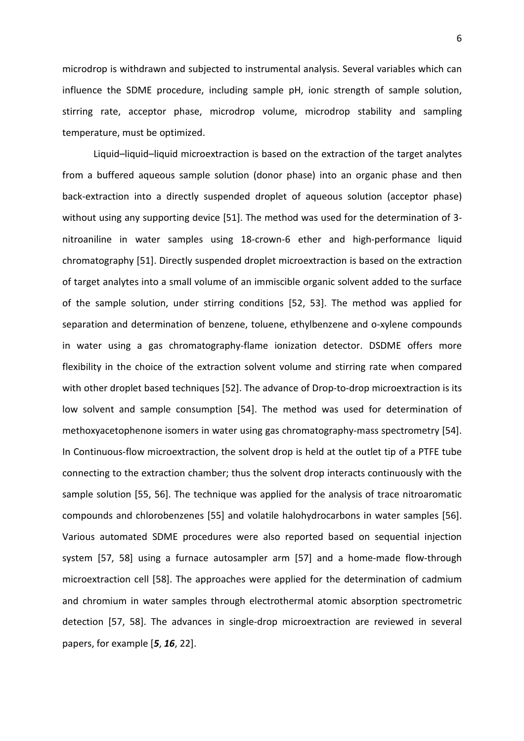microdrop is withdrawn and subjected to instrumental analysis. Several variables which can influence the SDME procedure, including sample pH, ionic strength of sample solution, stirring rate, acceptor phase, microdrop volume, microdrop stability and sampling temperature, must be optimized.

Liquid–liquid–liquid microextraction is based on the extraction of the target analytes from a buffered aqueous sample solution (donor phase) into an organic phase and then back-extraction into a directly suspended droplet of aqueous solution (acceptor phase) without using any supporting device [51]. The method was used for the determination of 3 nitroaniline in water samples using 18-crown-6 ether and high-performance liquid chromatography [51]. Directly suspended droplet microextraction is based on the extraction of target analytes into a small volume of an immiscible organic solvent added to the surface of the sample solution, under stirring conditions [52, 53]. The method was applied for separation and determination of benzene, toluene, ethylbenzene and o-xylene compounds in water using a gas chromatography-flame ionization detector. DSDME offers more flexibility in the choice of the extraction solvent volume and stirring rate when compared with other droplet based techniques [52]. The advance of Drop-to-drop microextraction is its low solvent and sample consumption [54]. The method was used for determination of methoxyacetophenone isomers in water using gas chromatography-mass spectrometry [54]. In Continuous-flow microextraction, the solvent drop is held at the outlet tip of a PTFE tube connecting to the extraction chamber; thus the solvent drop interacts continuously with the sample solution [55, 56]. The technique was applied for the analysis of trace nitroaromatic compounds and chlorobenzenes [55] and volatile halohydrocarbons in water samples [56]. Various automated SDME procedures were also reported based on sequential injection system [57, 58] using a furnace autosampler arm [57] and a home-made flow-through microextraction cell [58]. The approaches were applied for the determination of cadmium and chromium in water samples through electrothermal atomic absorption spectrometric detection [57, 58]. The advances in single-drop microextraction are reviewed in several papers, for example [*5*, *16*, 22].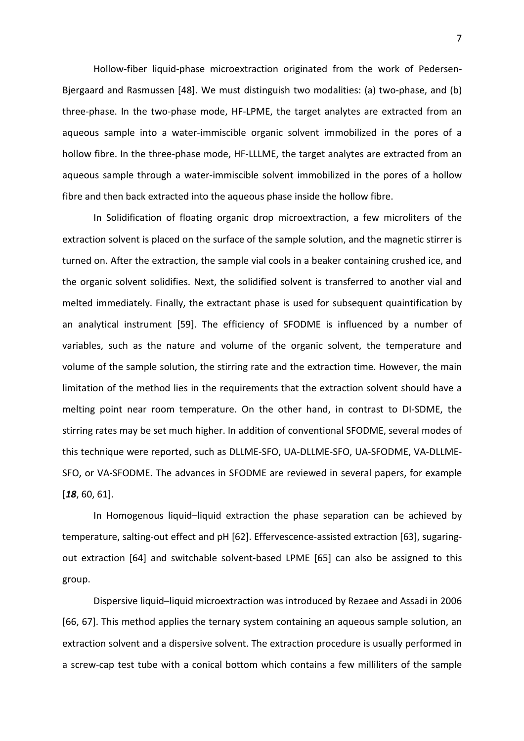Hollow-fiber liquid-phase microextraction originated from the work of Pedersen-Bjergaard and Rasmussen [48]. We must distinguish two modalities: (a) two-phase, and (b) three-phase. In the two-phase mode, HF-LPME, the target analytes are extracted from an aqueous sample into a water-immiscible organic solvent immobilized in the pores of a hollow fibre. In the three-phase mode, HF-LLLME, the target analytes are extracted from an aqueous sample through a water-immiscible solvent immobilized in the pores of a hollow fibre and then back extracted into the aqueous phase inside the hollow fibre.

In Solidification of floating organic drop microextraction, a few microliters of the extraction solvent is placed on the surface of the sample solution, and the magnetic stirrer is turned on. After the extraction, the sample vial cools in a beaker containing crushed ice, and the organic solvent solidifies. Next, the solidified solvent is transferred to another vial and melted immediately. Finally, the extractant phase is used for subsequent quaintification by an analytical instrument [59]. The efficiency of SFODME is influenced by a number of variables, such as the nature and volume of the organic solvent, the temperature and volume of the sample solution, the stirring rate and the extraction time. However, the main limitation of the method lies in the requirements that the extraction solvent should have a melting point near room temperature. On the other hand, in contrast to DI-SDME, the stirring rates may be set much higher. In addition of conventional SFODME, several modes of this technique were reported, such as DLLME-SFO, UA-DLLME-SFO, UA-SFODME, VA-DLLME-SFO, or VA-SFODME. The advances in SFODME are reviewed in several papers, for example [*18*, 60, 61].

In Homogenous liquid–liquid extraction the phase separation can be achieved by temperature, salting-out effect and pH [62]. Effervescence-assisted extraction [63], sugaringout extraction [64] and switchable solvent-based LPME [65] can also be assigned to this group.

Dispersive liquid–liquid microextraction was introduced by Rezaee and Assadi in 2006 [66, 67]. This method applies the ternary system containing an aqueous sample solution, an extraction solvent and a dispersive solvent. The extraction procedure is usually performed in a screw-cap test tube with a conical bottom which contains a few milliliters of the sample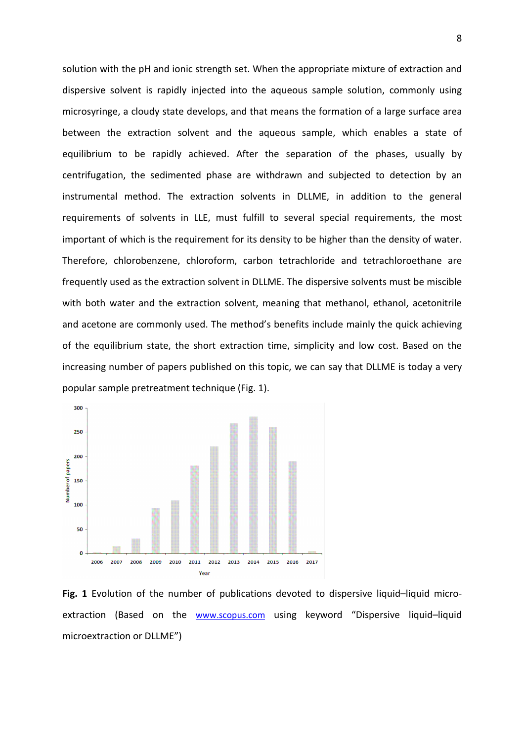solution with the pH and ionic strength set. When the appropriate mixture of extraction and dispersive solvent is rapidly injected into the aqueous sample solution, commonly using microsyringe, a cloudy state develops, and that means the formation of a large surface area between the extraction solvent and the aqueous sample, which enables a state of equilibrium to be rapidly achieved. After the separation of the phases, usually by centrifugation, the sedimented phase are withdrawn and subjected to detection by an instrumental method. The extraction solvents in DLLME, in addition to the general requirements of solvents in LLE, must fulfill to several special requirements, the most important of which is the requirement for its density to be higher than the density of water. Therefore, chlorobenzene, chloroform, carbon tetrachloride and tetrachloroethane are frequently used as the extraction solvent in DLLME. The dispersive solvents must be miscible with both water and the extraction solvent, meaning that methanol, ethanol, acetonitrile and acetone are commonly used. The method's benefits include mainly the quick achieving of the equilibrium state, the short extraction time, simplicity and low cost. Based on the increasing number of papers published on this topic, we can say that DLLME is today a very popular sample pretreatment technique (Fig. 1).



**Fig. 1** Evolution of the number of publications devoted to dispersive liquid–liquid microextraction (Based on the www.scopus.com using keyword "Dispersive liquid–liquid microextraction or DLLME")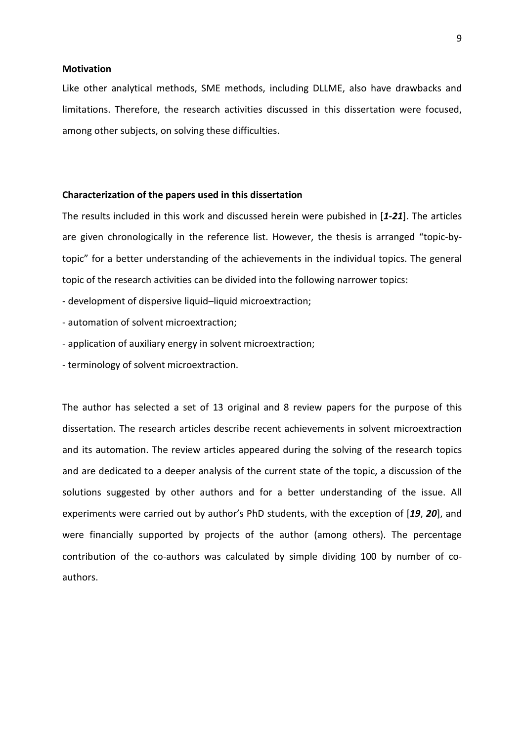# **Motivation**

Like other analytical methods, SME methods, including DLLME, also have drawbacks and limitations. Therefore, the research activities discussed in this dissertation were focused, among other subjects, on solving these difficulties.

#### **Characterization of the papers used in this dissertation**

The results included in this work and discussed herein were pubished in [*1-21*]. The articles are given chronologically in the reference list. However, the thesis is arranged "topic-bytopic" for a better understanding of the achievements in the individual topics. The general topic of the research activities can be divided into the following narrower topics:

- development of dispersive liquid–liquid microextraction;
- automation of solvent microextraction;
- application of auxiliary energy in solvent microextraction;
- terminology of solvent microextraction.

The author has selected a set of 13 original and 8 review papers for the purpose of this dissertation. The research articles describe recent achievements in solvent microextraction and its automation. The review articles appeared during the solving of the research topics and are dedicated to a deeper analysis of the current state of the topic, a discussion of the solutions suggested by other authors and for a better understanding of the issue. All experiments were carried out by author's PhD students, with the exception of [*19*, *20*], and were financially supported by projects of the author (among others). The percentage contribution of the co-authors was calculated by simple dividing 100 by number of coauthors.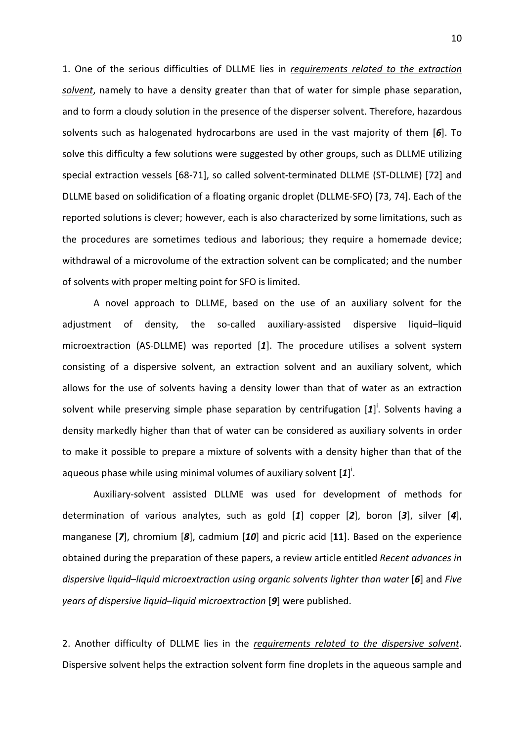1. One of the serious difficulties of DLLME lies in *requirements related to the extraction solvent*, namely to have a density greater than that of water for simple phase separation, and to form a cloudy solution in the presence of the disperser solvent. Therefore, hazardous solvents such as halogenated hydrocarbons are used in the vast majority of them [*6*]. To solve this difficulty a few solutions were suggested by other groups, such as DLLME utilizing special extraction vessels [68-71], so called solvent-terminated DLLME (ST-DLLME) [72] and DLLME based on solidification of a floating organic droplet (DLLME-SFO) [73, 74]. Each of the reported solutions is clever; however, each is also characterized by some limitations, such as the procedures are sometimes tedious and laborious; they require a homemade device; withdrawal of a microvolume of the extraction solvent can be complicated; and the number of solvents with proper melting point for SFO is limited.

A novel approach to DLLME, based on the use of an auxiliary solvent for the adjustment of density, the so-called auxiliary-assisted dispersive liquid–liquid microextraction (AS-DLLME) was reported [*1*]. The procedure utilises a solvent system consisting of a dispersive solvent, an extraction solvent and an auxiliary solvent, which allows for the use of solvents having a density lower than that of water as an extraction solvent while preserving simple phase separation by centrifugation [1]<sup>i</sup>. Solvents having a density markedly higher than that of water can be considered as auxiliary solvents in order to make it possible to prepare a mixture of solvents with a density higher than that of the aqueous phase while using minimal volumes of auxiliary solvent  $[1]$ <sup>i</sup>.

Auxiliary-solvent assisted DLLME was used for development of methods for determination of various analytes, such as gold [*1*] copper [*2*], boron [*3*], silver [*4*], manganese [*7*], chromium [*8*], cadmium [*10*] and picric acid [**11**]. Based on the experience obtained during the preparation of these papers, a review article entitled *Recent advances in dispersive liquid*–*liquid microextraction using organic solvents lighter than water* [*6*] and *Five years of dispersive liquid–liquid microextraction* [*9*] were published.

2. Another difficulty of DLLME lies in the *requirements related to the dispersive solvent*. Dispersive solvent helps the extraction solvent form fine droplets in the aqueous sample and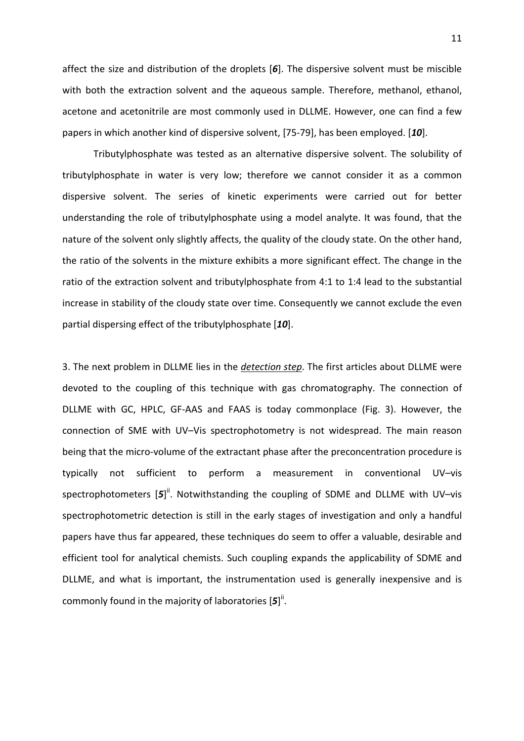affect the size and distribution of the droplets [*6*]. The dispersive solvent must be miscible with both the extraction solvent and the aqueous sample. Therefore, methanol, ethanol, acetone and acetonitrile are most commonly used in DLLME. However, one can find a few papers in which another kind of dispersive solvent, [75-79], has been employed. [*10*].

Tributylphosphate was tested as an alternative dispersive solvent. The solubility of tributylphosphate in water is very low; therefore we cannot consider it as a common dispersive solvent. The series of kinetic experiments were carried out for better understanding the role of tributylphosphate using a model analyte. It was found, that the nature of the solvent only slightly affects, the quality of the cloudy state. On the other hand, the ratio of the solvents in the mixture exhibits a more significant effect. The change in the ratio of the extraction solvent and tributylphosphate from 4:1 to 1:4 lead to the substantial increase in stability of the cloudy state over time. Consequently we cannot exclude the even partial dispersing effect of the tributylphosphate [*10*].

3. The next problem in DLLME lies in the *detection step*. The first articles about DLLME were devoted to the coupling of this technique with gas chromatography. The connection of DLLME with GC, HPLC, GF-AAS and FAAS is today commonplace (Fig. 3). However, the connection of SME with UV–Vis spectrophotometry is not widespread. The main reason being that the micro-volume of the extractant phase after the preconcentration procedure is typically not sufficient to perform a measurement in conventional UV–vis spectrophotometers [5]<sup>ii</sup>. Notwithstanding the coupling of SDME and DLLME with UV-vis spectrophotometric detection is still in the early stages of investigation and only a handful papers have thus far appeared, these techniques do seem to offer a valuable, desirable and efficient tool for analytical chemists. Such coupling expands the applicability of SDME and DLLME, and what is important, the instrumentation used is generally inexpensive and is commonly found in the majority of laboratories [5]<sup>ii</sup>.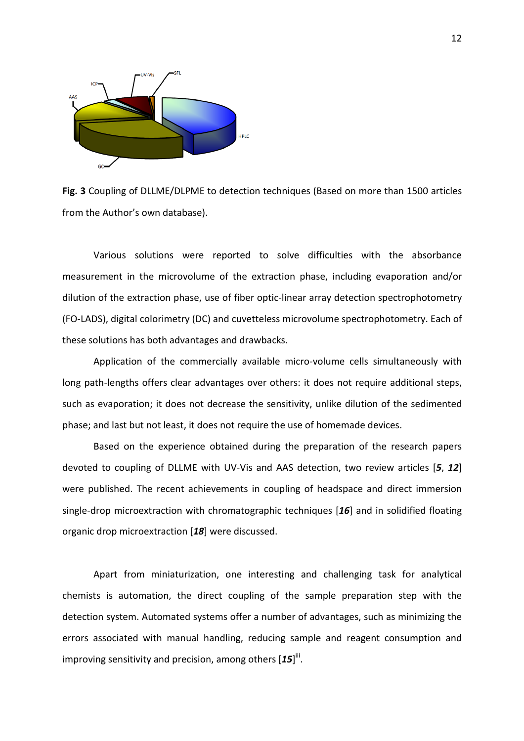

**Fig. 3** Coupling of DLLME/DLPME to detection techniques (Based on more than 1500 articles from the Author's own database).

Various solutions were reported to solve difficulties with the absorbance measurement in the microvolume of the extraction phase, including evaporation and/or dilution of the extraction phase, use of fiber optic-linear array detection spectrophotometry (FO-LADS), digital colorimetry (DC) and cuvetteless microvolume spectrophotometry. Each of these solutions has both advantages and drawbacks.

Application of the commercially available micro-volume cells simultaneously with long path-lengths offers clear advantages over others: it does not require additional steps, such as evaporation; it does not decrease the sensitivity, unlike dilution of the sedimented phase; and last but not least, it does not require the use of homemade devices.

Based on the experience obtained during the preparation of the research papers devoted to coupling of DLLME with UV-Vis and AAS detection, two review articles [*5*, *12*] were published. The recent achievements in coupling of headspace and direct immersion single-drop microextraction with chromatographic techniques [*16*] and in solidified floating organic drop microextraction [*18*] were discussed.

Apart from miniaturization, one interesting and challenging task for analytical chemists is automation, the direct coupling of the sample preparation step with the detection system. Automated systems offer a number of advantages, such as minimizing the errors associated with manual handling, reducing sample and reagent consumption and improving sensitivity and precision, among others [15]<sup>iii</sup>.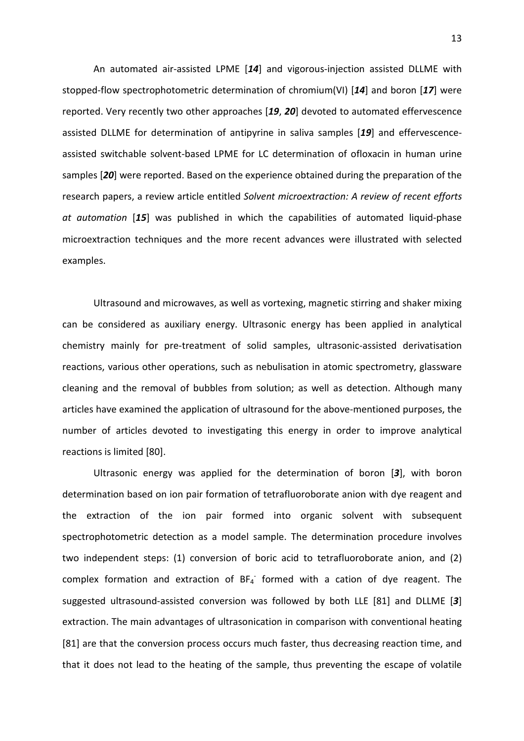An automated air-assisted LPME [*14*] and vigorous-injection assisted DLLME with stopped-flow spectrophotometric determination of chromium(VI) [*14*] and boron [*17*] were reported. Very recently two other approaches [*19*, *20*] devoted to automated effervescence assisted DLLME for determination of antipyrine in saliva samples [*19*] and effervescenceassisted switchable solvent-based LPME for LC determination of ofloxacin in human urine samples [*20*] were reported. Based on the experience obtained during the preparation of the research papers, a review article entitled *Solvent microextraction: A review of recent efforts at automation* [*15*] was published in which the capabilities of automated liquid-phase microextraction techniques and the more recent advances were illustrated with selected examples.

Ultrasound and microwaves, as well as vortexing, magnetic stirring and shaker mixing can be considered as auxiliary energy. Ultrasonic energy has been applied in analytical chemistry mainly for pre-treatment of solid samples, ultrasonic-assisted derivatisation reactions, various other operations, such as nebulisation in atomic spectrometry, glassware cleaning and the removal of bubbles from solution; as well as detection. Although many articles have examined the application of ultrasound for the above-mentioned purposes, the number of articles devoted to investigating this energy in order to improve analytical reactions is limited [80].

Ultrasonic energy was applied for the determination of boron [*3*], with boron determination based on ion pair formation of tetrafluoroborate anion with dye reagent and the extraction of the ion pair formed into organic solvent with subsequent spectrophotometric detection as a model sample. The determination procedure involves two independent steps: (1) conversion of boric acid to tetrafluoroborate anion, and (2) complex formation and extraction of  $BF_4$  formed with a cation of dye reagent. The suggested ultrasound-assisted conversion was followed by both LLE [81] and DLLME [*3*] extraction. The main advantages of ultrasonication in comparison with conventional heating [81] are that the conversion process occurs much faster, thus decreasing reaction time, and that it does not lead to the heating of the sample, thus preventing the escape of volatile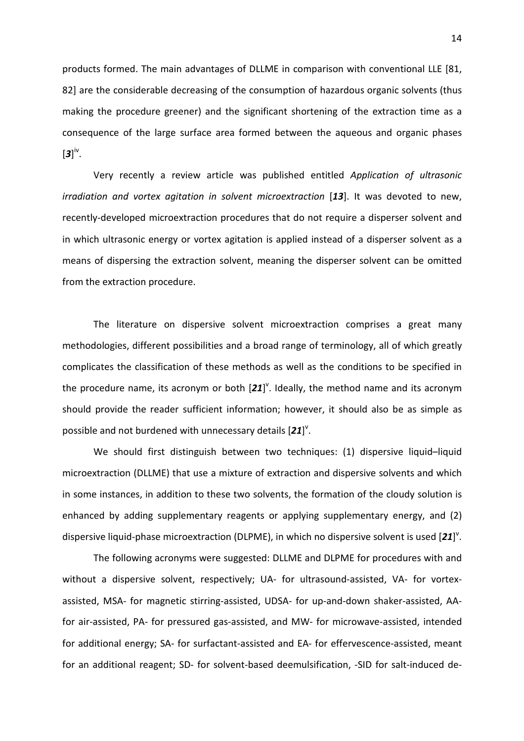products formed. The main advantages of DLLME in comparison with conventional LLE [81, 82] are the considerable decreasing of the consumption of hazardous organic solvents (thus making the procedure greener) and the significant shortening of the extraction time as a consequence of the large surface area formed between the aqueous and organic phases  $\left[\mathbf{3}\right]$ <sup>iv</sup>.

Very recently a review article was published entitled *Application of ultrasonic irradiation and vortex agitation in solvent microextraction* [*13*]. It was devoted to new, recently-developed microextraction procedures that do not require a disperser solvent and in which ultrasonic energy or vortex agitation is applied instead of a disperser solvent as a means of dispersing the extraction solvent, meaning the disperser solvent can be omitted from the extraction procedure.

The literature on dispersive solvent microextraction comprises a great many methodologies, different possibilities and a broad range of terminology, all of which greatly complicates the classification of these methods as well as the conditions to be specified in the procedure name, its acronym or both  $[21]^\vee$ . Ideally, the method name and its acronym should provide the reader sufficient information; however, it should also be as simple as possible and not burdened with unnecessary details [21]<sup>v</sup>.

We should first distinguish between two techniques: (1) dispersive liquid–liquid microextraction (DLLME) that use a mixture of extraction and dispersive solvents and which in some instances, in addition to these two solvents, the formation of the cloudy solution is enhanced by adding supplementary reagents or applying supplementary energy, and (2) dispersive liquid-phase microextraction (DLPME), in which no dispersive solvent is used [21]<sup>v</sup>.

The following acronyms were suggested: DLLME and DLPME for procedures with and without a dispersive solvent, respectively; UA- for ultrasound-assisted, VA- for vortexassisted, MSA- for magnetic stirring-assisted, UDSA- for up-and-down shaker-assisted, AAfor air-assisted, PA- for pressured gas-assisted, and MW- for microwave-assisted, intended for additional energy; SA- for surfactant-assisted and EA- for effervescence-assisted, meant for an additional reagent; SD- for solvent-based deemulsification, -SID for salt-induced de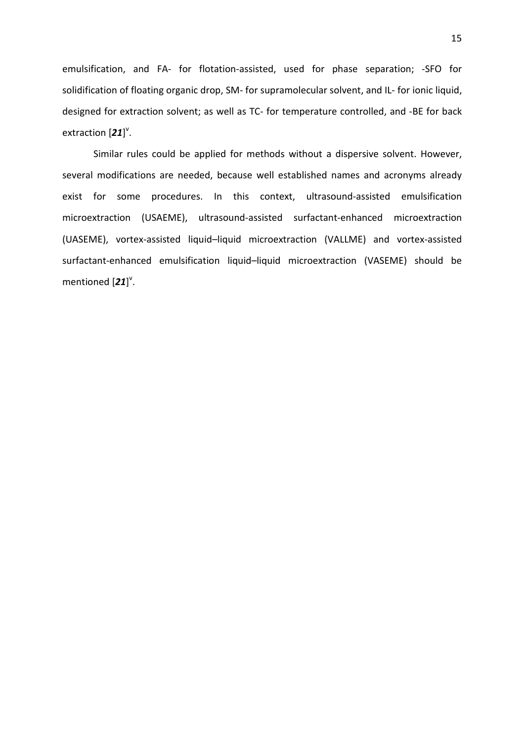emulsification, and FA- for flotation-assisted, used for phase separation; -SFO for solidification of floating organic drop, SM- for supramolecular solvent, and IL- for ionic liquid, designed for extraction solvent; as well as TC- for temperature controlled, and -BE for back extraction  $[21]^\vee$ .

Similar rules could be applied for methods without a dispersive solvent. However, several modifications are needed, because well established names and acronyms already exist for some procedures. In this context, ultrasound-assisted emulsification microextraction (USAEME), ultrasound-assisted surfactant-enhanced microextraction (UASEME), vortex-assisted liquid–liquid microextraction (VALLME) and vortex-assisted surfactant-enhanced emulsification liquid–liquid microextraction (VASEME) should be mentioned [21]<sup>v</sup>.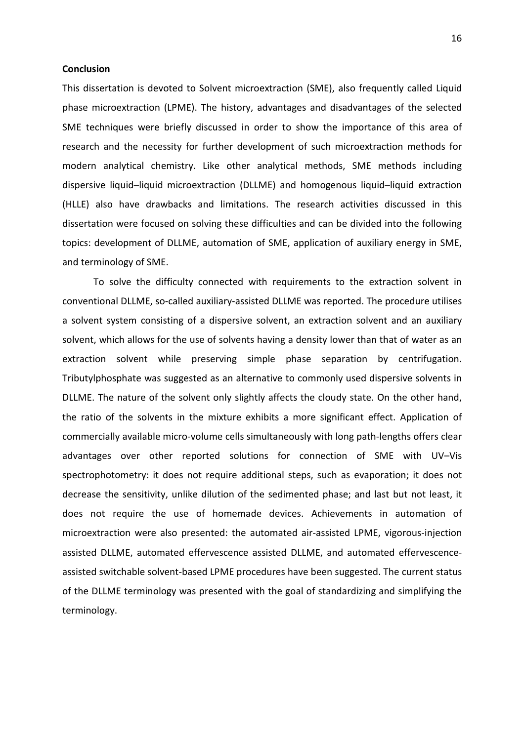# **Conclusion**

This dissertation is devoted to Solvent microextraction (SME), also frequently called Liquid phase microextraction (LPME). The history, advantages and disadvantages of the selected SME techniques were briefly discussed in order to show the importance of this area of research and the necessity for further development of such microextraction methods for modern analytical chemistry. Like other analytical methods, SME methods including dispersive liquid–liquid microextraction (DLLME) and homogenous liquid–liquid extraction (HLLE) also have drawbacks and limitations. The research activities discussed in this dissertation were focused on solving these difficulties and can be divided into the following topics: development of DLLME, automation of SME, application of auxiliary energy in SME, and terminology of SME.

To solve the difficulty connected with requirements to the extraction solvent in conventional DLLME, so-called auxiliary-assisted DLLME was reported. The procedure utilises a solvent system consisting of a dispersive solvent, an extraction solvent and an auxiliary solvent, which allows for the use of solvents having a density lower than that of water as an extraction solvent while preserving simple phase separation by centrifugation. Tributylphosphate was suggested as an alternative to commonly used dispersive solvents in DLLME. The nature of the solvent only slightly affects the cloudy state. On the other hand, the ratio of the solvents in the mixture exhibits a more significant effect. Application of commercially available micro-volume cells simultaneously with long path-lengths offers clear advantages over other reported solutions for connection of SME with UV–Vis spectrophotometry: it does not require additional steps, such as evaporation; it does not decrease the sensitivity, unlike dilution of the sedimented phase; and last but not least, it does not require the use of homemade devices. Achievements in automation of microextraction were also presented: the automated air-assisted LPME, vigorous-injection assisted DLLME, automated effervescence assisted DLLME, and automated effervescenceassisted switchable solvent-based LPME procedures have been suggested. The current status of the DLLME terminology was presented with the goal of standardizing and simplifying the terminology.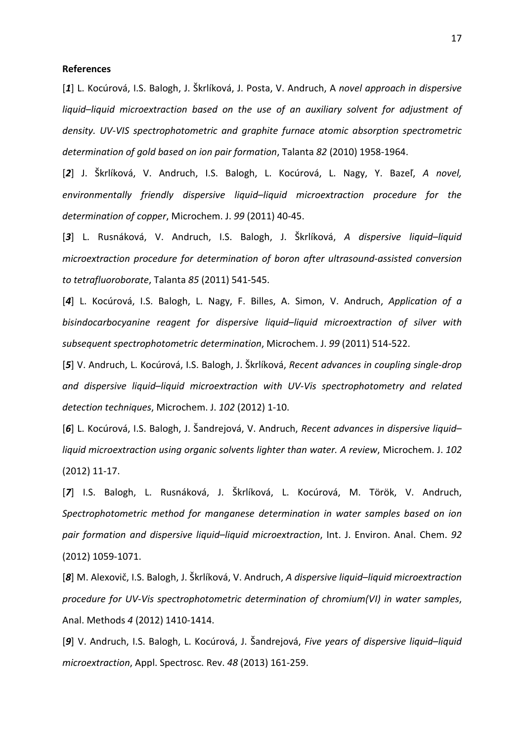#### **References**

[*1*] L. Kocúrová, I.S. Balogh, J. Škrlíková, J. Posta, V. Andruch, A *novel approach in dispersive liquid*–*liquid microextraction based on the use of an auxiliary solvent for adjustment of density. UV-VIS spectrophotometric and graphite furnace atomic absorption spectrometric determination of gold based on ion pair formation*, Talanta *82* (2010) 1958-1964.

[*2*] J. Škrlíková, V. Andruch, I.S. Balogh, L. Kocúrová, L. Nagy, Y. Bazeľ, *A novel, environmentally friendly dispersive liquid*–*liquid microextraction procedure for the determination of copper*, Microchem. J. *99* (2011) 40-45.

[*3*] L. Rusnáková, V. Andruch, I.S. Balogh, J. Škrlíková, *A dispersive liquid*–*liquid microextraction procedure for determination of boron after ultrasound-assisted conversion to tetrafluoroborate*, Talanta *85* (2011) 541-545.

[*4*] L. Kocúrová, I.S. Balogh, L. Nagy, F. Billes, A. Simon, V. Andruch, *Application of a bisindocarbocyanine reagent for dispersive liquid*–*liquid microextraction of silver with subsequent spectrophotometric determination*, Microchem. J. *99* (2011) 514-522.

[*5*] V. Andruch, L. Kocúrová, I.S. Balogh, J. Škrlíková, *Recent advances in coupling single-drop and dispersive liquid*–*liquid microextraction with UV-Vis spectrophotometry and related detection techniques*, Microchem. J. *102* (2012) 1-10.

[*6*] L. Kocúrová, I.S. Balogh, J. Šandrejová, V. Andruch, *Recent advances in dispersive liquid*– *liquid microextraction using organic solvents lighter than water. A review*, Microchem. J. *102* (2012) 11-17.

[*7*] I.S. Balogh, L. Rusnáková, J. Škrlíková, L. Kocúrová, M. Török, V. Andruch, *Spectrophotometric method for manganese determination in water samples based on ion pair formation and dispersive liquid*–*liquid microextraction*, Int. J. Environ. Anal. Chem. *92* (2012) 1059-1071.

[*8*] M. Alexovič, I.S. Balogh, J. Škrlíková, V. Andruch, *A dispersive liquid*–*liquid microextraction procedure for UV-Vis spectrophotometric determination of chromium(VI) in water samples*, Anal. Methods *4* (2012) 1410-1414.

[*9*] V. Andruch, I.S. Balogh, L. Kocúrová, J. Šandrejová, *Five years of dispersive liquid*–*liquid microextraction*, Appl. Spectrosc. Rev. *48* (2013) 161-259.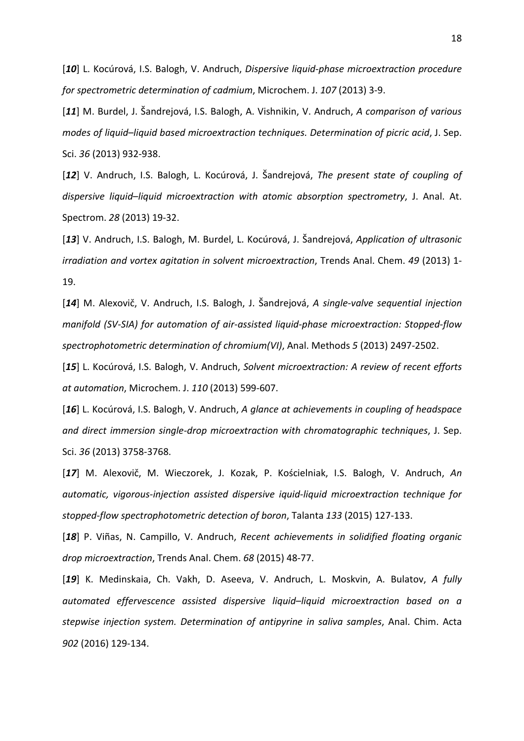[*10*] L. Kocúrová, I.S. Balogh, V. Andruch, *Dispersive liquid-phase microextraction procedure for spectrometric determination of cadmium*, Microchem. J. *107* (2013) 3-9.

[*11*] M. Burdel, J. Šandrejová, I.S. Balogh, A. Vishnikin, V. Andruch, *A comparison of various modes of liquid*–*liquid based microextraction techniques. Determination of picric acid*, J. Sep. Sci. *36* (2013) 932-938.

[*12*] V. Andruch, I.S. Balogh, L. Kocúrová, J. Šandrejová, *The present state of coupling of dispersive liquid*–*liquid microextraction with atomic absorption spectrometry*, J. Anal. At. Spectrom. *28* (2013) 19-32.

[*13*] V. Andruch, I.S. Balogh, M. Burdel, L. Kocúrová, J. Šandrejová, *Application of ultrasonic irradiation and vortex agitation in solvent microextraction*, Trends Anal. Chem. *49* (2013) 1- 19.

[*14*] M. Alexovič, V. Andruch, I.S. Balogh, J. Šandrejová, *A single-valve sequential injection manifold (SV-SIA) for automation of air-assisted liquid-phase microextraction: Stopped-flow spectrophotometric determination of chromium(VI)*, Anal. Methods *5* (2013) 2497-2502.

[*15*] L. Kocúrová, I.S. Balogh, V. Andruch, *Solvent microextraction: A review of recent efforts at automation*, Microchem. J. *110* (2013) 599-607.

[*16*] L. Kocúrová, I.S. Balogh, V. Andruch, *A glance at achievements in coupling of headspace and direct immersion single-drop microextraction with chromatographic techniques*, J. Sep. Sci. *36* (2013) 3758-3768.

[*17*] M. Alexovič, M. Wieczorek, J. Kozak, P. Kościelniak, I.S. Balogh, V. Andruch, *An automatic, vigorous-injection assisted dispersive iquid-liquid microextraction technique for stopped-flow spectrophotometric detection of boron*, Talanta *133* (2015) 127-133.

[*18*] P. Viñas, N. Campillo, V. Andruch, *Recent achievements in solidified floating organic drop microextraction*, Trends Anal. Chem. *68* (2015) 48-77.

[*19*] K. Medinskaia, Ch. Vakh, D. Aseeva, V. Andruch, L. Moskvin, A. Bulatov, *A fully automated effervescence assisted dispersive liquid*–*liquid microextraction based on a stepwise injection system. Determination of antipyrine in saliva samples*, Anal. Chim. Acta *902* (2016) 129-134.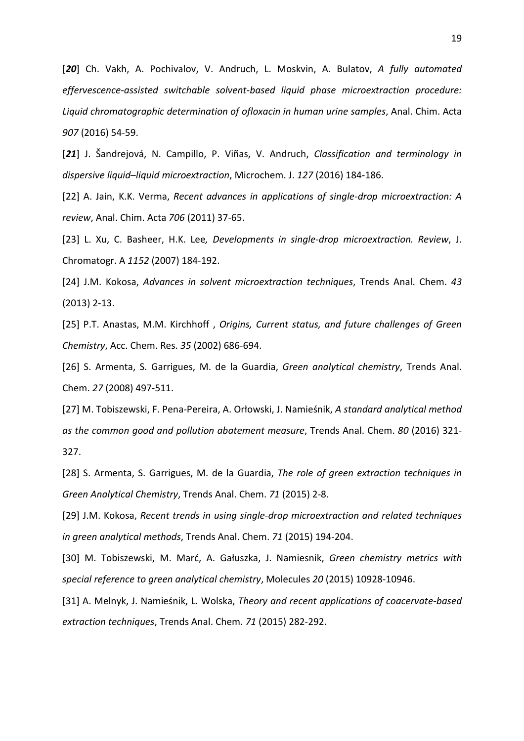[*20*] Ch. Vakh, A. Pochivalov, V. Andruch, L. Moskvin, A. Bulatov, *A fully automated effervescence-assisted switchable solvent-based liquid phase microextraction procedure: Liquid chromatographic determination of ofloxacin in human urine samples*, Anal. Chim. Acta *907* (2016) 54-59.

[*21*] J. Šandrejová, N. Campillo, P. Viñas, V. Andruch, *Classification and terminology in dispersive liquid*–*liquid microextraction*, Microchem. J. *127* (2016) 184-186.

[22] A. Jain, K.K. Verma, *Recent advances in applications of single-drop microextraction: A review*, Anal. Chim. Acta *706* (2011) 37-65.

[23] L. Xu, C. Basheer, H.K. Lee*, Developments in single-drop microextraction. Review*, J. Chromatogr. A *1152* (2007) 184-192.

[24] J.M. Kokosa, *Advances in solvent microextraction techniques*, Trends Anal. Chem. *43* (2013) 2-13.

[25] P.T. Anastas, M.M. Kirchhoff , *Origins, Current status, and future challenges of Green Chemistry*, Acc. Chem. Res. *35* (2002) 686-694.

[26] S. Armenta, S. Garrigues, M. de la Guardia, *Green analytical chemistry*, Trends Anal. Chem. *27* (2008) 497-511.

[27] M. Tobiszewski, F. Pena-Pereira, A. Orłowski, J. Namieśnik, *A standard analytical method as the common good and pollution abatement measure*, Trends Anal. Chem. *80* (2016) 321- 327.

[28] S. Armenta, S. Garrigues, M. de la Guardia, *The role of green extraction techniques in Green Analytical Chemistry*, Trends Anal. Chem. *71* (2015) 2-8.

[29] J.M. Kokosa, *Recent trends in using single-drop microextraction and related techniques in green analytical methods*, Trends Anal. Chem. *71* (2015) 194-204.

[30] M. Tobiszewski, M. Marć, A. Gałuszka, J. Namiesnik, *Green chemistry metrics with special reference to green analytical chemistry*, Molecules *20* (2015) 10928-10946.

[31] A. Melnyk, J. Namieśnik, L. Wolska, *Theory and recent applications of coacervate-based extraction techniques*, Trends Anal. Chem. *71* (2015) 282-292.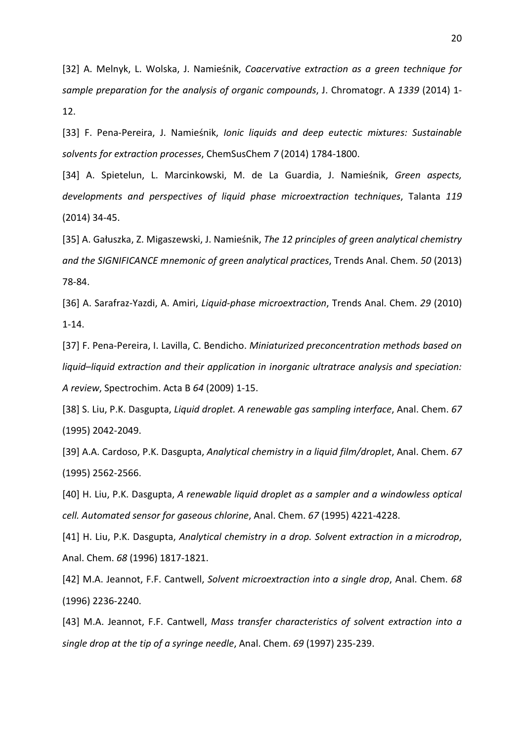[32] A. Melnyk, L. Wolska, J. Namieśnik, *Coacervative extraction as a green technique for sample preparation for the analysis of organic compounds*, J. Chromatogr. A *1339* (2014) 1- 12.

[33] F. Pena-Pereira, J. Namieśnik, *Ionic liquids and deep eutectic mixtures: Sustainable solvents for extraction processes*, ChemSusChem *7* (2014) 1784-1800.

[34] A. Spietelun, L. Marcinkowski, M. de La Guardia, J. Namieśnik, *Green aspects, developments and perspectives of liquid phase microextraction techniques*, Talanta *119* (2014) 34-45.

[35] A. Gałuszka, Z. Migaszewski, J. Namieśnik, *The 12 principles of green analytical chemistry and the SIGNIFICANCE mnemonic of green analytical practices*, Trends Anal. Chem. *50* (2013) 78-84.

[36] A. Sarafraz-Yazdi, A. Amiri, *Liquid-phase microextraction*, Trends Anal. Chem. *29* (2010) 1-14.

[37] F. Pena-Pereira, I. Lavilla, C. Bendicho. *Miniaturized preconcentration methods based on liquid*–*liquid extraction and their application in inorganic ultratrace analysis and speciation: A review*, Spectrochim. Acta B *64* (2009) 1-15.

[38] S. Liu, P.K. Dasgupta, *Liquid droplet. A renewable gas sampling interface*, Anal. Chem. *67* (1995) 2042-2049.

[39] A.A. Cardoso, P.K. Dasgupta, *Analytical chemistry in a liquid film/droplet*, Anal. Chem. *67* (1995) 2562-2566.

[40] H. Liu, P.K. Dasgupta, *A renewable liquid droplet as a sampler and a windowless optical cell. Automated sensor for gaseous chlorine*, Anal. Chem. *67* (1995) 4221-4228.

[41] H. Liu, P.K. Dasgupta, *Analytical chemistry in a drop. Solvent extraction in a microdrop*, Anal. Chem. *68* (1996) 1817-1821.

[42] M.A. Jeannot, F.F. Cantwell, *Solvent microextraction into a single drop*, Anal. Chem. *68* (1996) 2236-2240.

[43] M.A. Jeannot, F.F. Cantwell, *Mass transfer characteristics of solvent extraction into a single drop at the tip of a syringe needle*, Anal. Chem. *69* (1997) 235-239.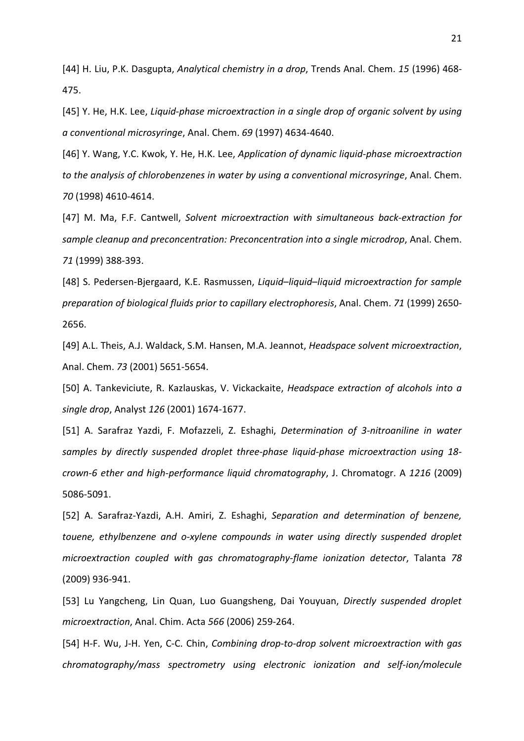[44] H. Liu, P.K. Dasgupta, *Analytical chemistry in a drop*, Trends Anal. Chem. *15* (1996) 468- 475.

[45] Y. He, H.K. Lee, *Liquid-phase microextraction in a single drop of organic solvent by using a conventional microsyringe*, Anal. Chem. *69* (1997) 4634-4640.

[46] Y. Wang, Y.C. Kwok, Y. He, H.K. Lee, *Application of dynamic liquid-phase microextraction to the analysis of chlorobenzenes in water by using a conventional microsyringe*, Anal. Chem. *70* (1998) 4610-4614.

[47] M. Ma, F.F. Cantwell, *Solvent microextraction with simultaneous back-extraction for sample cleanup and preconcentration: Preconcentration into a single microdrop*, Anal. Chem. *71* (1999) 388-393.

[48] S. Pedersen-Bjergaard, K.E. Rasmussen, *Liquid*–*liquid*–*liquid microextraction for sample preparation of biological fluids prior to capillary electrophoresis*, Anal. Chem. *71* (1999) 2650- 2656.

[49] A.L. Theis, A.J. Waldack, S.M. Hansen, M.A. Jeannot, *Headspace solvent microextraction*, Anal. Chem. *73* (2001) 5651-5654.

[50] A. Tankeviciute, R. Kazlauskas, V. Vickackaite, *Headspace extraction of alcohols into a single drop*, Analyst *126* (2001) 1674-1677.

[51] A. Sarafraz Yazdi, F. Mofazzeli, Z. Eshaghi, *Determination of 3-nitroaniline in water samples by directly suspended droplet three-phase liquid-phase microextraction using 18 crown-6 ether and high-performance liquid chromatography*, J. Chromatogr. A *1216* (2009) 5086-5091.

[52] A. Sarafraz-Yazdi, A.H. Amiri, Z. Eshaghi, *Separation and determination of benzene, touene, ethylbenzene and o-xylene compounds in water using directly suspended droplet microextraction coupled with gas chromatography-flame ionization detector*, Talanta *78* (2009) 936-941.

[53] Lu Yangcheng, Lin Quan, Luo Guangsheng, Dai Youyuan, *Directly suspended droplet microextraction*, Anal. Chim. Acta *566* (2006) 259-264.

[54] H-F. Wu, J-H. Yen, C-C. Chin, *Combining drop-to-drop solvent microextraction with gas chromatography/mass spectrometry using electronic ionization and self-ion/molecule*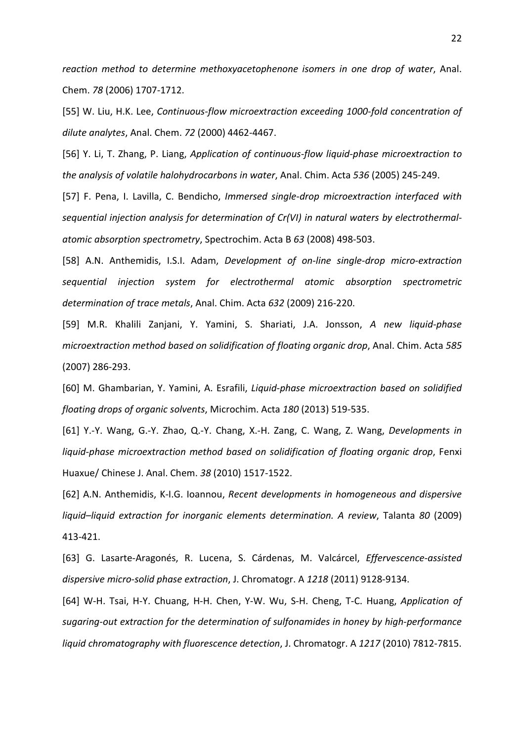*reaction method to determine methoxyacetophenone isomers in one drop of water*, Anal. Chem. *78* (2006) 1707-1712.

[55] W. Liu, H.K. Lee, *Continuous-flow microextraction exceeding 1000-fold concentration of dilute analytes*, Anal. Chem. *72* (2000) 4462-4467.

[56] Y. Li, T. Zhang, P. Liang, *Application of continuous-flow liquid-phase microextraction to the analysis of volatile halohydrocarbons in water*, Anal. Chim. Acta *536* (2005) 245-249.

[57] F. Pena, I. Lavilla, C. Bendicho, *Immersed single-drop microextraction interfaced with sequential injection analysis for determination of Cr(VI) in natural waters by electrothermalatomic absorption spectrometry*, Spectrochim. Acta B *63* (2008) 498-503.

[58] A.N. Anthemidis, I.S.I. Adam, *Development of on-line single-drop micro-extraction sequential injection system for electrothermal atomic absorption spectrometric determination of trace metals*, Anal. Chim. Acta *632* (2009) 216-220.

[59] M.R. Khalili Zanjani, Y. Yamini, S. Shariati, J.A. Jonsson, *A new liquid-phase microextraction method based on solidification of floating organic drop*, Anal. Chim. Acta *585* (2007) 286-293.

[60] M. Ghambarian, Y. Yamini, A. Esrafili, *Liquid-phase microextraction based on solidified floating drops of organic solvents*, Microchim. Acta *180* (2013) 519-535.

[61] Y.-Y. Wang, G.-Y. Zhao, Q.-Y. Chang, X.-H. Zang, C. Wang, Z. Wang, *Developments in liquid-phase microextraction method based on solidification of floating organic drop*, Fenxi Huaxue/ Chinese J. Anal. Chem. *38* (2010) 1517-1522.

[62] A.N. Anthemidis, K-I.G. Ioannou, *Recent developments in homogeneous and dispersive liquid–liquid extraction for inorganic elements determination. A review*, Talanta *80* (2009) 413-421.

[63] G. Lasarte-Aragonés, R. Lucena, S. Cárdenas, M. Valcárcel, *Effervescence-assisted dispersive micro-solid phase extraction*, J. Chromatogr. A *1218* (2011) 9128-9134.

[64] W-H. Tsai, H-Y. Chuang, H-H. Chen, Y-W. Wu, S-H. Cheng, T-C. Huang, *Application of sugaring-out extraction for the determination of sulfonamides in honey by high-performance liquid chromatography with fluorescence detection*, J. Chromatogr. A *1217* (2010) 7812-7815.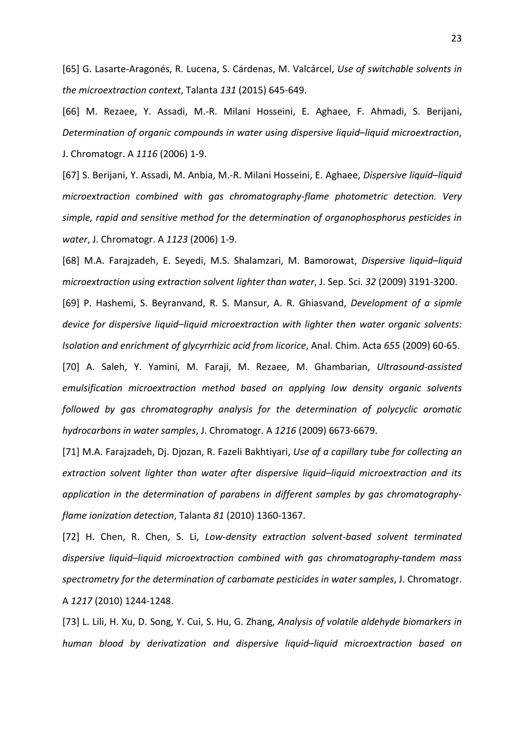[65] G. Lasarte-Aragonés, R. Lucena, S. Cárdenas, M. Valcárcel, *Use of switchable solvents in the microextraction context*, Talanta *131* (2015) 645-649.

[66] M. Rezaee, Y. Assadi, M.-R. Milani Hosseini, E. Aghaee, F. Ahmadi, S. Berijani, *Determination of organic compounds in water using dispersive liquid*–*liquid microextraction*, J. Chromatogr. A *1116* (2006) 1-9.

[67] S. Berijani, Y. Assadi, M. Anbia, M.-R. Milani Hosseini, E. Aghaee, *Dispersive liquid*–*liquid microextraction combined with gas chromatography-flame photometric detection. Very simple, rapid and sensitive method for the determination of organophosphorus pesticides in water*, J. Chromatogr. A *1123* (2006) 1-9.

[68] M.A. Farajzadeh, E. Seyedi, M.S. Shalamzari, M. Bamorowat, *Dispersive liquid–liquid microextraction using extraction solvent lighter than water*, J. Sep. Sci. *32* (2009) 3191-3200.

[69] P. Hashemi, S. Beyranvand, R. S. Mansur, A. R. Ghiasvand, *Development of a sipmle device for dispersive liquid*–*liquid microextraction with lighter then water organic solvents: Isolation and enrichment of glycyrrhizic acid from licorice*, Anal. Chim. Acta *655* (2009) 60-65.

[70] A. Saleh, Y. Yamini, M. Faraji, M. Rezaee, M. Ghambarian, *Ultrasound-assisted emulsification microextraction method based on applying low density organic solvents followed by gas chromatography analysis for the determination of polycyclic aromatic hydrocarbons in water samples*, J. Chromatogr. A *1216* (2009) 6673-6679.

[71] M.A. Farajzadeh, Dj. Djozan, R. Fazeli Bakhtiyari, *Use of a capillary tube for collecting an extraction solvent lighter than water after dispersive liquid*–*liquid microextraction and its application in the determination of parabens in different samples by gas chromatographyflame ionization detection*, Talanta *81* (2010) 1360-1367.

[72] H. Chen, R. Chen, S. Li, *Low-density extraction solvent-based solvent terminated dispersive liquid*–*liquid microextraction combined with gas chromatography-tandem mass spectrometry for the determination of carbamate pesticides in water samples*, J. Chromatogr. A *1217* (2010) 1244-1248.

[73] L. Lili, H. Xu, D. Song, Y. Cui, S. Hu, G. Zhang, *Analysis of volatile aldehyde biomarkers in human blood by derivatization and dispersive liquid*–*liquid microextraction based on*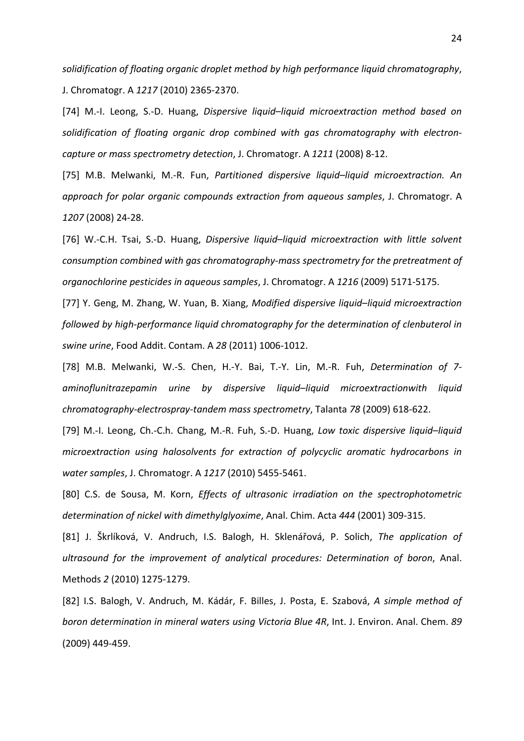*solidification of floating organic droplet method by high performance liquid chromatography*, J. Chromatogr. A *1217* (2010) 2365-2370.

[74] M.-I. Leong, S.-D. Huang, *Dispersive liquid*–*liquid microextraction method based on solidification of floating organic drop combined with gas chromatography with electroncapture or mass spectrometry detection*, J. Chromatogr. A *1211* (2008) 8-12.

[75] M.B. Melwanki, M.-R. Fun, *Partitioned dispersive liquid*–*liquid microextraction. An approach for polar organic compounds extraction from aqueous samples*, J. Chromatogr. A *1207* (2008) 24-28.

[76] W.-C.H. Tsai, S.-D. Huang, *Dispersive liquid*–*liquid microextraction with little solvent consumption combined with gas chromatography-mass spectrometry for the pretreatment of organochlorine pesticides in aqueous samples*, J. Chromatogr. A *1216* (2009) 5171-5175.

[77] Y. Geng, M. Zhang, W. Yuan, B. Xiang, *Modified dispersive liquid*–*liquid microextraction followed by high-performance liquid chromatography for the determination of clenbuterol in swine urine*, Food Addit. Contam. A *28* (2011) 1006-1012.

[78] M.B. Melwanki, W.-S. Chen, H.-Y. Bai, T.-Y. Lin, M.-R. Fuh, *Determination of 7 aminoflunitrazepamin urine by dispersive liquid*–*liquid microextractionwith liquid chromatography-electrospray-tandem mass spectrometry*, Talanta *78* (2009) 618-622.

[79] M.-I. Leong, Ch.-C.h. Chang, M.-R. Fuh, S.-D. Huang, *Low toxic dispersive liquid*–*liquid microextraction using halosolvents for extraction of polycyclic aromatic hydrocarbons in water samples*, J. Chromatogr. A *1217* (2010) 5455-5461.

[80] C.S. de Sousa, M. Korn, *Effects of ultrasonic irradiation on the spectrophotometric determination of nickel with dimethylglyoxime*, Anal. Chim. Acta *444* (2001) 309-315.

[81] J. Škrlíková, V. Andruch, I.S. Balogh, H. Sklenářová, P. Solich, *The application of ultrasound for the improvement of analytical procedures: Determination of boron*, Anal. Methods *2* (2010) 1275-1279.

[82] I.S. Balogh, V. Andruch, M. Kádár, F. Billes, J. Posta, E. Szabová, *A simple method of boron determination in mineral waters using Victoria Blue 4R*, Int. J. Environ. Anal. Chem. *89* (2009) 449-459.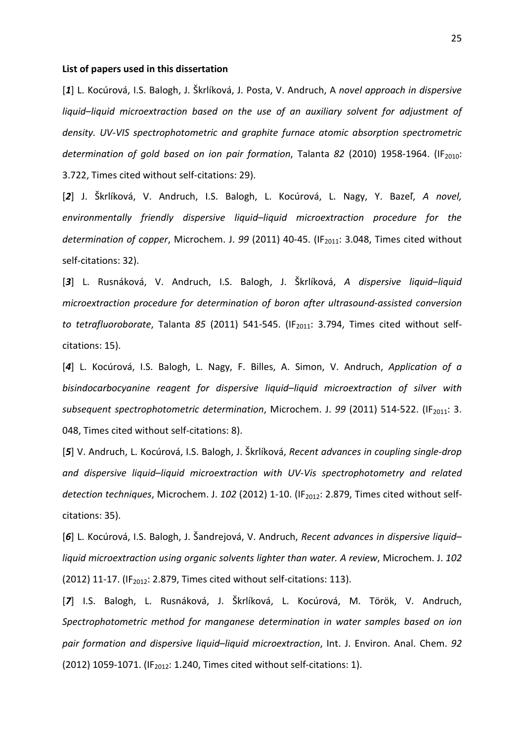#### **List of papers used in this dissertation**

[*1*] L. Kocúrová, I.S. Balogh, J. Škrlíková, J. Posta, V. Andruch, A *novel approach in dispersive liquid*–*liquid microextraction based on the use of an auxiliary solvent for adjustment of density. UV-VIS spectrophotometric and graphite furnace atomic absorption spectrometric*  determination of gold based on ion pair formation, Talanta 82 (2010) 1958-1964. (IF<sub>2010</sub>: 3.722, Times cited without self-citations: 29).

[*2*] J. Škrlíková, V. Andruch, I.S. Balogh, L. Kocúrová, L. Nagy, Y. Bazeľ, *A novel, environmentally friendly dispersive liquid*–*liquid microextraction procedure for the determination of copper, Microchem. J. 99 (2011) 40-45. (IF<sub>2011</sub>: 3.048, Times cited without* self-citations: 32).

[*3*] L. Rusnáková, V. Andruch, I.S. Balogh, J. Škrlíková, *A dispersive liquid*–*liquid microextraction procedure for determination of boron after ultrasound-assisted conversion to tetrafluoroborate*, Talanta 85 (2011) 541-545. (IF<sub>2011</sub>: 3.794, Times cited without selfcitations: 15).

[*4*] L. Kocúrová, I.S. Balogh, L. Nagy, F. Billes, A. Simon, V. Andruch, *Application of a bisindocarbocyanine reagent for dispersive liquid*–*liquid microextraction of silver with subsequent spectrophotometric determination, Microchem. J. 99 (2011) 514-522. (IF<sub>2011</sub>: 3.* 048, Times cited without self-citations: 8).

[*5*] V. Andruch, L. Kocúrová, I.S. Balogh, J. Škrlíková, *Recent advances in coupling single-drop and dispersive liquid*–*liquid microextraction with UV-Vis spectrophotometry and related*  detection techniques, Microchem. J. 102 (2012) 1-10. (IF<sub>2012</sub>: 2.879, Times cited without selfcitations: 35).

[*6*] L. Kocúrová, I.S. Balogh, J. Šandrejová, V. Andruch, *Recent advances in dispersive liquid*– *liquid microextraction using organic solvents lighter than water. A review*, Microchem. J. *102* (2012) 11-17. (IF<sub>2012</sub>: 2.879, Times cited without self-citations: 113).

[*7*] I.S. Balogh, L. Rusnáková, J. Škrlíková, L. Kocúrová, M. Török, V. Andruch, *Spectrophotometric method for manganese determination in water samples based on ion pair formation and dispersive liquid*–*liquid microextraction*, Int. J. Environ. Anal. Chem. *92* (2012) 1059-1071. (IF<sub>2012</sub>: 1.240, Times cited without self-citations: 1).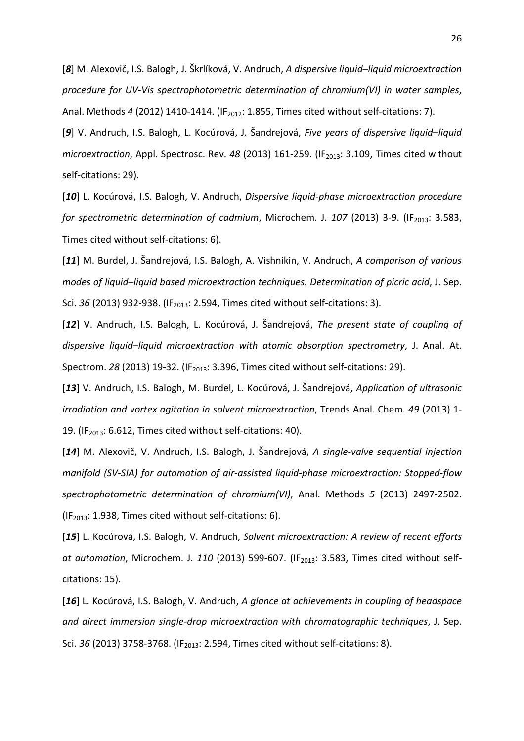[*8*] M. Alexovič, I.S. Balogh, J. Škrlíková, V. Andruch, *A dispersive liquid*–*liquid microextraction procedure for UV-Vis spectrophotometric determination of chromium(VI) in water samples*, Anal. Methods 4 (2012) 1410-1414. (IF<sub>2012</sub>: 1.855, Times cited without self-citations: 7).

[*9*] V. Andruch, I.S. Balogh, L. Kocúrová, J. Šandrejová, *Five years of dispersive liquid*–*liquid microextraction*, Appl. Spectrosc. Rev. 48 (2013) 161-259. (IF<sub>2013</sub>: 3.109, Times cited without self-citations: 29).

[*10*] L. Kocúrová, I.S. Balogh, V. Andruch, *Dispersive liquid-phase microextraction procedure for spectrometric determination of cadmium, Microchem. J. 107 (2013) 3-9. (IF<sub>2013</sub>: 3.583,* Times cited without self-citations: 6).

[*11*] M. Burdel, J. Šandrejová, I.S. Balogh, A. Vishnikin, V. Andruch, *A comparison of various modes of liquid*–*liquid based microextraction techniques. Determination of picric acid*, J. Sep. Sci. 36 (2013) 932-938. (IF<sub>2013</sub>: 2.594, Times cited without self-citations: 3).

[*12*] V. Andruch, I.S. Balogh, L. Kocúrová, J. Šandrejová, *The present state of coupling of dispersive liquid*–*liquid microextraction with atomic absorption spectrometry*, J. Anal. At. Spectrom. 28 (2013) 19-32. (IF<sub>2013</sub>: 3.396, Times cited without self-citations: 29).

[*13*] V. Andruch, I.S. Balogh, M. Burdel, L. Kocúrová, J. Šandrejová, *Application of ultrasonic irradiation and vortex agitation in solvent microextraction*, Trends Anal. Chem. *49* (2013) 1- 19. (IF<sub>2013</sub>: 6.612, Times cited without self-citations: 40).

[*14*] M. Alexovič, V. Andruch, I.S. Balogh, J. Šandrejová, *A single-valve sequential injection manifold (SV-SIA) for automation of air-assisted liquid-phase microextraction: Stopped-flow spectrophotometric determination of chromium(VI)*, Anal. Methods *5* (2013) 2497-2502. ( $IF<sub>2013</sub>: 1.938$ , Times cited without self-citations: 6).

[*15*] L. Kocúrová, I.S. Balogh, V. Andruch, *Solvent microextraction: A review of recent efforts* at automation, Microchem. J. 110 (2013) 599-607. (IF<sub>2013</sub>: 3.583, Times cited without selfcitations: 15).

[*16*] L. Kocúrová, I.S. Balogh, V. Andruch, *A glance at achievements in coupling of headspace and direct immersion single-drop microextraction with chromatographic techniques*, J. Sep. Sci. 36 (2013) 3758-3768. (IF<sub>2013</sub>: 2.594, Times cited without self-citations: 8).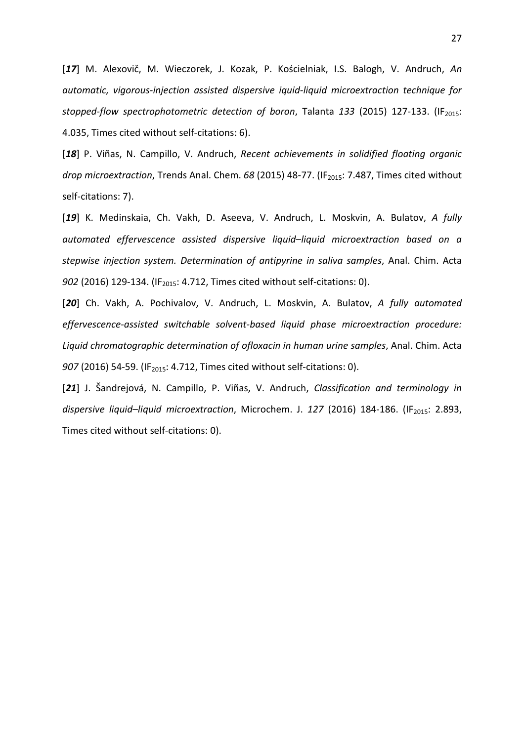[*17*] M. Alexovič, M. Wieczorek, J. Kozak, P. Kościelniak, I.S. Balogh, V. Andruch, *An automatic, vigorous-injection assisted dispersive iquid-liquid microextraction technique for stopped-flow spectrophotometric detection of boron, Talanta 133 (2015) 127-133. (IF<sub>2015</sub>:* 4.035, Times cited without self-citations: 6).

[*18*] P. Viñas, N. Campillo, V. Andruch, *Recent achievements in solidified floating organic drop microextraction*, Trends Anal. Chem. 68 (2015) 48-77. (IF<sub>2015</sub>: 7.487, Times cited without self-citations: 7).

[*19*] K. Medinskaia, Ch. Vakh, D. Aseeva, V. Andruch, L. Moskvin, A. Bulatov, *A fully automated effervescence assisted dispersive liquid*–*liquid microextraction based on a stepwise injection system. Determination of antipyrine in saliva samples*, Anal. Chim. Acta *902* (2016) 129-134. (IF<sub>2015</sub>: 4.712, Times cited without self-citations: 0).

[*20*] Ch. Vakh, A. Pochivalov, V. Andruch, L. Moskvin, A. Bulatov, *A fully automated effervescence-assisted switchable solvent-based liquid phase microextraction procedure: Liquid chromatographic determination of ofloxacin in human urine samples*, Anal. Chim. Acta *907* (2016) 54-59. (IF<sub>2015</sub>: 4.712, Times cited without self-citations: 0).

[*21*] J. Šandrejová, N. Campillo, P. Viñas, V. Andruch, *Classification and terminology in*  dispersive liquid-liquid microextraction, Microchem. J. 127 (2016) 184-186. (IF<sub>2015</sub>: 2.893, Times cited without self-citations: 0).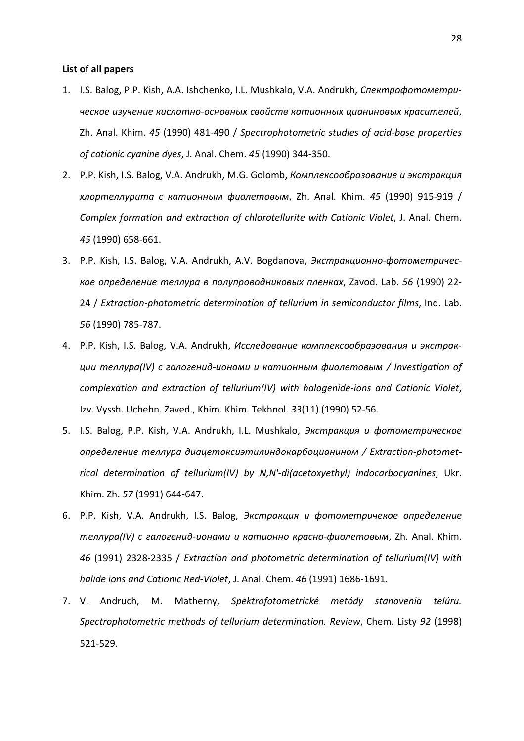# **List of all papers**

- 1. I.S. Balog, P.P. Kish, A.A. Ishchenko, I.L. Mushkalo, V.A. Andrukh, *Спектрофотометрическое изучение кислотно-основных свойств катионных цианиновых красителей*, Zh. Anal. Khim. *45* (1990) 481-490 / *Spectrophotometric studies of acid-base properties of cationic cyanine dyes*, J. Anal. Chem. *45* (1990) 344-350.
- 2. P.P. Kish, I.S. Balog, V.A. Andrukh, M.G. Golomb, *Комплексообразование и экстракция хлортеллурита с катионным фиолетовым*, Zh. Anal. Khim. *45* (1990) 915-919 / *Complex formation and extraction of chlorotellurite with Cationic Violet*, J. Anal. Chem. *45* (1990) 658-661.
- 3. P.P. Kish, I.S. Balog, V.A. Andrukh, A.V. Bogdanova, *Экстракционно-фотометрическое определение теллура в полупроводниковых пленках*, Zavod. Lab. *56* (1990) 22- 24 / *Extraction-photometric determination of tellurium in semiconductor films*, Ind. Lab. *56* (1990) 785-787.
- 4. P.P. Kish, I.S. Balog, V.A. Andrukh, *Исследование комплексообразования и экстракции теллура(IV) с галогенид-ионами и катионным фиолетовым / Investigation of complexation and extraction of tellurium(IV) with halogenide-ions and Cationic Violet*, Izv. Vyssh. Uchebn. Zaved., Khim. Khim. Tekhnol. *33*(11) (1990) 52-56.
- 5. I.S. Balog, P.P. Kish, V.A. Andrukh, I.L. Mushkalo, *Экстракция и фотометрическое определение теллура диацетоксиэтилиндокарбоцианином / Extraction-photometrical determination of tellurium(IV) by N,N'-di(acetoxyethyl) indocarbocyanines*, Ukr. Khim. Zh. *57* (1991) 644-647.
- 6. P.P. Kish, V.A. Andrukh, I.S. Balog, *Экстракция и фотометричекое определение теллура(IV) с галогенид-ионами и катионно красно-фиолетовым*, Zh. Anal. Khim. *46* (1991) 2328-2335 / *Extraction and photometric determination of tellurium(IV) with halide ions and Cationic Red-Violet*, J. Anal. Chem. *46* (1991) 1686-1691.
- 7. V. Andruch, M. Matherny, *Spektrofotometrické metódy stanovenia telúru. Spectrophotometric methods of tellurium determination. Review*, Chem. Listy *92* (1998) 521-529.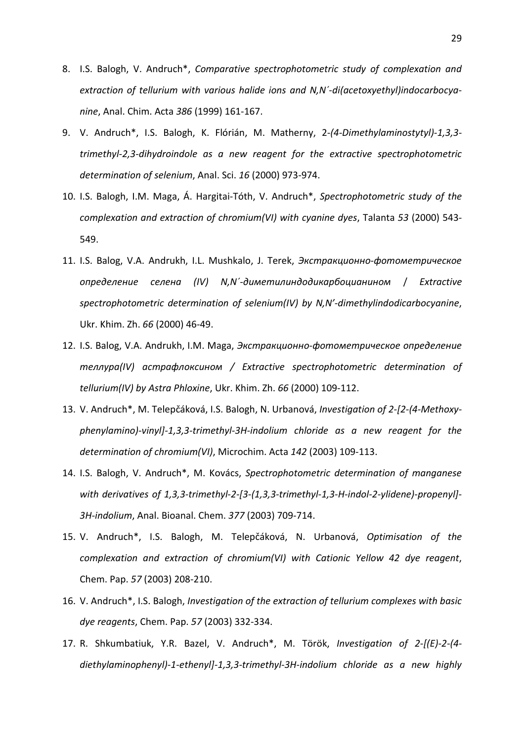- 8. I.S. Balogh, V. Andruch\*, *Comparative spectrophotometric study of complexation and extraction of tellurium with various halide ions and N,N´-di(acetoxyethyl)indocarbocyanine*, Anal. Chim. Acta *386* (1999) 161-167.
- 9. V. Andruch\*, I.S. Balogh, K. Flórián, M. Matherny, 2*-(4-Dimethylaminostytyl)-1,3,3 trimethyl-2,3-dihydroindole as a new reagent for the extractive spectrophotometric determination of selenium*, Anal. Sci. *16* (2000) 973-974.
- 10. I.S. Balogh, I.M. Maga, Á. Hargitai-Tóth, V. Andruch\*, *Spectrophotometric study of the complexation and extraction of chromium(VI) with cyanine dyes*, Talanta *53* (2000) 543- 549.
- 11. I.S. Balog, V.A. Andrukh, I.L. Mushkalo, J. Terek, *Экстракционно-фотометрическое определение селена (IV) N,N´-диметилиндодикарбоцианином* / *Extractive spectrophotometric determination of selenium(IV) by N,N'-dimethylindodicarbocyanine*, Ukr. Khim. Zh. *66* (2000) 46-49.
- 12. I.S. Balog, V.A. Andrukh, I.M. Maga, *Экстракционно-фотометрическое определение теллура(IV) астрафлоксином / Extractive spectrophotometric determination of tellurium(IV) by Astra Phloxine*, Ukr. Khim. Zh. *66* (2000) 109-112.
- 13. V. Andruch\*, M. Telepčáková, I.S. Balogh, N. Urbanová, *Investigation of 2-[2-(4-Methoxyphenylamino)-vinyl]-1,3,3-trimethyl-3H-indolium chloride as a new reagent for the determination of chromium(VI)*, Microchim. Acta *142* (2003) 109-113.
- 14. I.S. Balogh, V. Andruch\*, M. Kovács, *Spectrophotometric determination of manganese with derivatives of 1,3,3-trimethyl-2-[3-(1,3,3-trimethyl-1,3-H-indol-2-ylidene)-propenyl]- 3H-indolium*, Anal. Bioanal. Chem. *377* (2003) 709-714.
- 15. V. Andruch\*, I.S. Balogh, M. Telepčáková, N. Urbanová, *Optimisation of the complexation and extraction of chromium(VI) with Cationic Yellow 42 dye reagent*, Chem. Pap. *57* (2003) 208-210.
- 16. V. Andruch\*, I.S. Balogh, *Investigation of the extraction of tellurium complexes with basic dye reagents*, Chem. Pap. *57* (2003) 332-334.
- 17. R. Shkumbatiuk, Y.R. Bazel, V. Andruch\*, M. Török, *Investigation of 2-[(E)-2-(4 diethylaminophenyl)-1-ethenyl]-1,3,3-trimethyl-3H-indolium chloride as a new highly*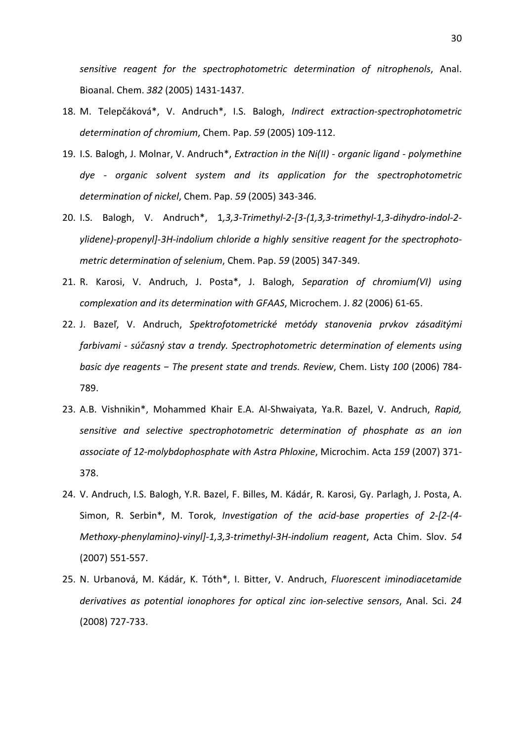*sensitive reagent for the spectrophotometric determination of nitrophenols*, Anal. Bioanal. Chem. *382* (2005) 1431-1437.

- 18. M. Telepčáková\*, V. Andruch\*, I.S. Balogh, *Indirect extraction-spectrophotometric determination of chromium*, Chem. Pap. *59* (2005) 109-112.
- 19. I.S. Balogh, J. Molnar, V. Andruch\*, *Extraction in the Ni(II) organic ligand polymethine dye - organic solvent system and its application for the spectrophotometric determination of nickel*, Chem. Pap. *59* (2005) 343-346.
- 20. I.S. Balogh, V. Andruch\*, 1*,3,3-Trimethyl-2-[3-(1,3,3-trimethyl-1,3-dihydro-indol-2 ylidene)-propenyl]-3H-indolium chloride a highly sensitive reagent for the spectrophotometric determination of selenium*, Chem. Pap. *59* (2005) 347-349.
- 21. R. Karosi, V. Andruch, J. Posta\*, J. Balogh, *Separation of chromium(VI) using complexation and its determination with GFAAS*, Microchem. J. *82* (2006) 61-65.
- 22. J. Bazeľ, V. Andruch, *Spektrofotometrické metódy stanovenia prvkov zásaditými farbivami - súčasný stav a trendy. Spectrophotometric determination of elements using basic dye reagents − The present state and trends. Review*, Chem. Listy *100* (2006) 784- 789.
- 23. A.B. Vishnikin\*, Mohammed Khair E.A. Al-Shwaiyata, Ya.R. Bazel, V. Andruch, *Rapid, sensitive and selective spectrophotometric determination of phosphate as an ion associate of 12-molybdophosphate with Astra Phloxine*, Microchim. Acta *159* (2007) 371- 378.
- 24. V. Andruch, I.S. Balogh, Y.R. Bazel, F. Billes, M. Kádár, R. Karosi, Gy. Parlagh, J. Posta, A. Simon, R. Serbin\*, M. Torok, *Investigation of the acid-base properties of 2-[2-(4- Methoxy-phenylamino)-vinyl]-1,3,3-trimethyl-3H-indolium reagent*, Acta Chim. Slov. *54* (2007) 551-557.
- 25. N. Urbanová, M. Kádár, K. Tóth\*, I. Bitter, V. Andruch, *Fluorescent iminodiacetamide derivatives as potential ionophores for optical zinc ion-selective sensors*, Anal. Sci. *24* (2008) 727-733.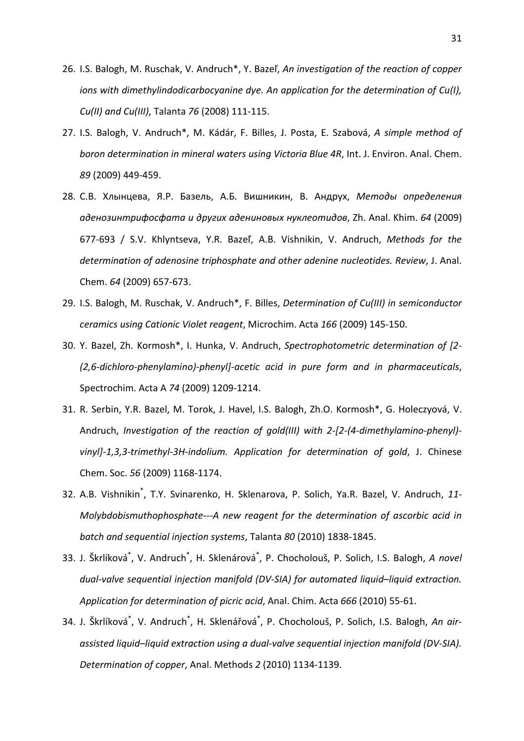- 26. I.S. Balogh, M. Ruschak, V. Andruch\*, Y. Bazeľ, *An investigation of the reaction of copper ions with dimethylindodicarbocyanine dye. An application for the determination of Cu(I), Cu(II) and Cu(III)*, Talanta *76* (2008) 111-115.
- 27. I.S. Balogh, V. Andruch\*, M. Kádár, F. Billes, J. Posta, E. Szabová, *A simple method of boron determination in mineral waters using Victoria Blue 4R*, Int. J. Environ. Anal. Chem. *89* (2009) 449-459.
- 28. С.В. Хлынцева, Я.Р. Базель, А.Б. Вишникин, В. Андрух, *Методы определения аденозинтрифосфата и других адениновых нуклеотидов*, Zh. Anal. Khim. *64* (2009) 677-693 / S.V. Khlyntseva, Y.R. Bazeľ, A.B. Vishnikin, V. Andruch, *Methods for the determination of adenosine triphosphate and other adenine nucleotides. Review*, J. Anal. Chem. *64* (2009) 657-673.
- 29. I.S. Balogh, M. Ruschak, V. Andruch\*, F. Billes, *Determination of Cu(III) in semiconductor ceramics using Cationic Violet reagent*, Microchim. Acta *166* (2009) 145-150.
- 30. Y. Bazel, Zh. Kormosh\*, I. Hunka, V. Andruch, *Spectrophotometric determination of [2- (2,6-dichloro-phenylamino)-phenyl]-acetic acid in pure form and in pharmaceuticals*, Spectrochim. Acta A *74* (2009) 1209-1214.
- 31. R. Serbin, Y.R. Bazel, M. Torok, J. Havel, I.S. Balogh, Zh.O. Kormosh\*, G. Holeczyová, V. Andruch, *Investigation of the reaction of gold(III) with 2-[2-(4-dimethylamino-phenyl) vinyl]-1,3,3-trimethyl-3H-indolium. Application for determination of gold*, J. Chinese Chem. Soc. *56* (2009) 1168-1174.
- 32. A.B. Vishnikin\* , T.Y. Svinarenko, H. Sklenarova, P. Solich, Ya.R. Bazel, V. Andruch, *11- Molybdobismuthophosphate---A new reagent for the determination of ascorbic acid in batch and sequential injection systems*, Talanta *80* (2010) 1838-1845.
- 33. J. Škrlíková<sup>\*</sup>, V. Andruch<sup>\*</sup>, H. Sklenárová<sup>\*</sup>, P. Chocholouš, P. Solich, I.S. Balogh, A novel *dual-valve sequential injection manifold (DV-SIA) for automated liquid*–*liquid extraction. Application for determination of picric acid*, Anal. Chim. Acta *666* (2010) 55-61.
- 34. J. Škrlíková<sup>\*</sup>, V. Andruch<sup>\*</sup>, H. Sklenářová<sup>\*</sup>, P. Chocholouš, P. Solich, I.S. Balogh, *An airassisted liquid*–*liquid extraction using a dual-valve sequential injection manifold (DV-SIA). Determination of copper*, Anal. Methods *2* (2010) 1134-1139.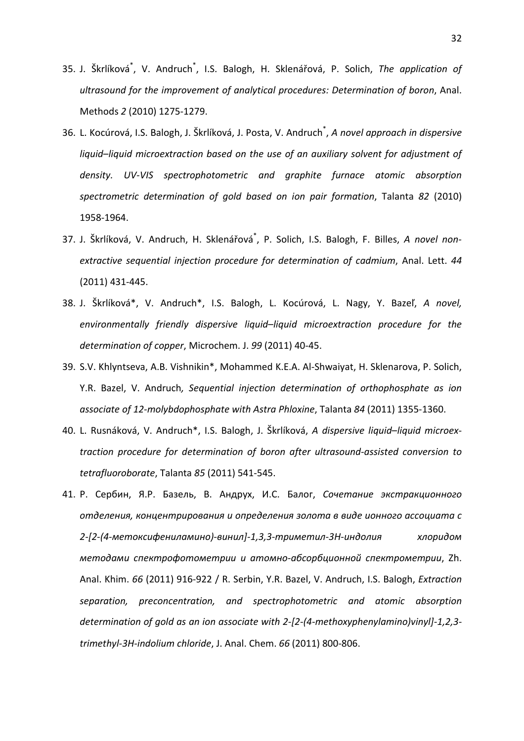- 35. J. Škrlíková<sup>\*</sup>, V. Andruch<sup>\*</sup>, I.S. Balogh, H. Sklenářová, P. Solich, The application of *ultrasound for the improvement of analytical procedures: Determination of boron*, Anal. Methods *2* (2010) 1275-1279.
- 36. L. Kocúrová, I.S. Balogh, J. Škrlíková, J. Posta, V. Andruch\* , *A novel approach in dispersive liquid*–*liquid microextraction based on the use of an auxiliary solvent for adjustment of density. UV-VIS spectrophotometric and graphite furnace atomic absorption spectrometric determination of gold based on ion pair formation*, Talanta *82* (2010) 1958-1964.
- 37. J. Škrlíková, V. Andruch, H. Sklenářová\* , P. Solich, I.S. Balogh, F. Billes, *A novel nonextractive sequential injection procedure for determination of cadmium*, Anal. Lett. *44* (2011) 431-445.
- 38. J. Škrlíková\*, V. Andruch\*, I.S. Balogh, L. Kocúrová, L. Nagy, Y. Bazeľ, *A novel, environmentally friendly dispersive liquid*–*liquid microextraction procedure for the determination of copper*, Microchem. J. *99* (2011) 40-45.
- 39. S.V. Khlyntseva, A.B. Vishnikin\*, Mohammed K.E.A. Al-Shwaiyat, H. Sklenarova, P. Solich, Y.R. Bazel, V. Andruch*, Sequential injection determination of orthophosphate as ion associate of 12-molybdophosphate with Astra Phloxine*, Talanta *84* (2011) 1355-1360.
- 40. L. Rusnáková, V. Andruch\*, I.S. Balogh, J. Škrlíková, *A dispersive liquid*–*liquid microextraction procedure for determination of boron after ultrasound-assisted conversion to tetrafluoroborate*, Talanta *85* (2011) 541-545.
- 41. Р. Сербин, Я.Р. Базель, В. Андрух, И.С. Балог, *Сочетание экстракционного отделения, концентрирования и определения золота в виде ионного ассоциата с 2-[2-(4-метоксифениламино)-винил]-1,3,3-триметил-3H-индолия хлоридом методами спектрофотометрии и атомно-абсорбционной спектрометрии*, Zh. Anal. Khim. *66* (2011) 916-922 / R. Serbin, Y.R. Bazel, V. Andruch, I.S. Balogh, *Extraction separation, preconcentration, and spectrophotometric and atomic absorption determination of gold as an ion associate with 2-[2-(4-methoxyphenylamino)vinyl]-1,2,3 trimethyl-3H-indolium chloride*, J. Anal. Chem. *66* (2011) 800-806.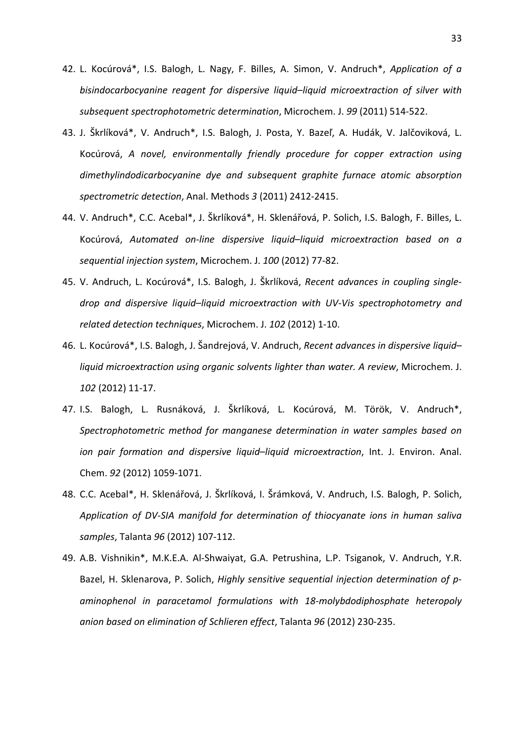- 42. L. Kocúrová\*, I.S. Balogh, L. Nagy, F. Billes, A. Simon, V. Andruch\*, *Application of a bisindocarbocyanine reagent for dispersive liquid*–*liquid microextraction of silver with subsequent spectrophotometric determination*, Microchem. J. *99* (2011) 514-522.
- 43. J. Škrlíková\*, V. Andruch\*, I.S. Balogh, J. Posta, Y. Bazeľ, A. Hudák, V. Jalčoviková, L. Kocúrová, *A novel, environmentally friendly procedure for copper extraction using dimethylindodicarbocyanine dye and subsequent graphite furnace atomic absorption spectrometric detection*, Anal. Methods *3* (2011) 2412-2415.
- 44. V. Andruch\*, C.C. Acebal\*, J. Škrlíková\*, H. Sklenářová, P. Solich, I.S. Balogh, F. Billes, L. Kocúrová, *Automated on-line dispersive liquid*–*liquid microextraction based on a sequential injection system*, Microchem. J. *100* (2012) 77-82.
- 45. V. Andruch, L. Kocúrová\*, I.S. Balogh, J. Škrlíková, *Recent advances in coupling singledrop and dispersive liquid*–*liquid microextraction with UV-Vis spectrophotometry and related detection techniques*, Microchem. J. *102* (2012) 1-10.
- 46. L. Kocúrová\*, I.S. Balogh, J. Šandrejová, V. Andruch, *Recent advances in dispersive liquid liquid microextraction using organic solvents lighter than water. A review*, Microchem. J. *102* (2012) 11-17.
- 47. I.S. Balogh, L. Rusnáková, J. Škrlíková, L. Kocúrová, M. Török, V. Andruch\*, *Spectrophotometric method for manganese determination in water samples based on ion pair formation and dispersive liquid*–*liquid microextraction*, Int. J. Environ. Anal. Chem. *92* (2012) 1059-1071.
- 48. C.C. Acebal\*, H. Sklenářová, J. Škrlíková, I. Šrámková, V. Andruch, I.S. Balogh, P. Solich, *Application of DV-SIA manifold for determination of thiocyanate ions in human saliva samples*, Talanta *96* (2012) 107-112.
- 49. A.B. Vishnikin\*, M.K.E.A. Al-Shwaiyat, G.A. Petrushina, L.P. Tsiganok, V. Andruch, Y.R. Bazel, H. Sklenarova, P. Solich, *Highly sensitive sequential injection determination of paminophenol in paracetamol formulations with 18-molybdodiphosphate heteropoly anion based on elimination of Schlieren effect*, Talanta *96* (2012) 230-235.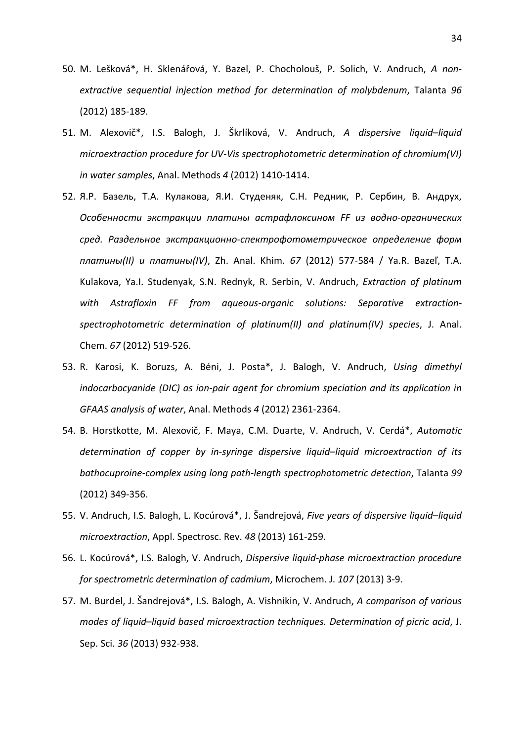- 50. M. Lešková\*, H. Sklenářová, Y. Bazel, P. Chocholouš, P. Solich, V. Andruch, *A nonextractive sequential injection method for determination of molybdenum*, Talanta *96* (2012) 185-189.
- 51. M. Alexovič\*, I.S. Balogh, J. Škrlíková, V. Andruch, *A dispersive liquid*–*liquid microextraction procedure for UV-Vis spectrophotometric determination of chromium(VI) in water samples*, Anal. Methods *4* (2012) 1410-1414.
- 52. Я.Р. Базель, Т.А. Кулакова, Я.И. Студеняк, С.Н. Редник, Р. Сербин, В. Андрух, *Особенности экстракции платины астрафлоксином FF из водно-органических сред. Раздельное экстракционно-спектрофотометрическое определение форм платины(II) и платины(IV)*, Zh. Anal. Khim. *67* (2012) 577-584 / Ya.R. Bazeľ, T.A. Kulakova, Ya.I. Studenyak, S.N. Rednyk, R. Serbin, V. Andruch, *Extraction of platinum with Astrafloxin FF from aqueous-organic solutions: Separative extractionspectrophotometric determination of platinum(II) and platinum(IV) species*, J. Anal. Chem. *67* (2012) 519-526.
- 53. R. Karosi, K. Boruzs, A. Béni, J. Posta\*, J. Balogh, V. Andruch, *Using dimethyl indocarbocyanide (DIC) as ion-pair agent for chromium speciation and its application in GFAAS analysis of water*, Anal. Methods *4* (2012) 2361-2364.
- 54. B. Horstkotte, M. Alexovič, F. Maya, C.M. Duarte, V. Andruch, V. Cerdá\*, *Automatic determination of copper by in-syringe dispersive liquid*–*liquid microextraction of its bathocuproine-complex using long path-length spectrophotometric detection*, Talanta *99* (2012) 349-356.
- 55. V. Andruch, I.S. Balogh, L. Kocúrová\*, J. Šandrejová, *Five years of dispersive liquid*–*liquid microextraction*, Appl. Spectrosc. Rev. *48* (2013) 161-259.
- 56. L. Kocúrová\*, I.S. Balogh, V. Andruch, *Dispersive liquid-phase microextraction procedure for spectrometric determination of cadmium*, Microchem. J. *107* (2013) 3-9.
- 57. M. Burdel, J. Šandrejová\*, I.S. Balogh, A. Vishnikin, V. Andruch, *A comparison of various modes of liquid*–*liquid based microextraction techniques. Determination of picric acid*, J. Sep. Sci. *36* (2013) 932-938.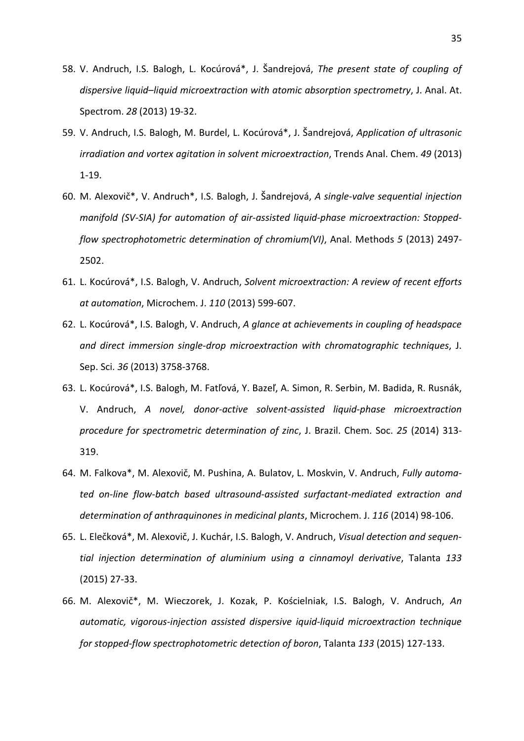- 58. V. Andruch, I.S. Balogh, L. Kocúrová\*, J. Šandrejová, *The present state of coupling of dispersive liquid*–*liquid microextraction with atomic absorption spectrometry*, J. Anal. At. Spectrom. *28* (2013) 19-32.
- 59. V. Andruch, I.S. Balogh, M. Burdel, L. Kocúrová\*, J. Šandrejová, *Application of ultrasonic irradiation and vortex agitation in solvent microextraction*, Trends Anal. Chem. *49* (2013) 1-19.
- 60. M. Alexovič\*, V. Andruch\*, I.S. Balogh, J. Šandrejová, *A single-valve sequential injection manifold (SV-SIA) for automation of air-assisted liquid-phase microextraction: Stoppedflow spectrophotometric determination of chromium(VI)*, Anal. Methods *5* (2013) 2497- 2502.
- 61. L. Kocúrová\*, I.S. Balogh, V. Andruch, *Solvent microextraction: A review of recent efforts at automation*, Microchem. J. *110* (2013) 599-607.
- 62. L. Kocúrová\*, I.S. Balogh, V. Andruch, *A glance at achievements in coupling of headspace and direct immersion single-drop microextraction with chromatographic techniques*, J. Sep. Sci. *36* (2013) 3758-3768.
- 63. L. Kocúrová\*, I.S. Balogh, M. Fatľová, Y. Bazeľ, A. Simon, R. Serbin, M. Badida, R. Rusnák, V. Andruch, *A novel, donor-active solvent-assisted liquid-phase microextraction procedure for spectrometric determination of zinc*, J. Brazil. Chem. Soc. *25* (2014) 313- 319.
- 64. M. Falkova\*, M. Alexovič, M. Pushina, A. Bulatov, L. Moskvin, V. Andruch, *Fully automated on-line flow-batch based ultrasound-assisted surfactant-mediated extraction and determination of anthraquinones in medicinal plants*, Microchem. J. *116* (2014) 98-106.
- 65. L. Elečková\*, M. Alexovič, J. Kuchár, I.S. Balogh, V. Andruch, *Visual detection and sequential injection determination of aluminium using a cinnamoyl derivative*, Talanta *133* (2015) 27-33.
- 66. M. Alexovič\*, M. Wieczorek, J. Kozak, P. Kościelniak, I.S. Balogh, V. Andruch, *An automatic, vigorous-injection assisted dispersive iquid-liquid microextraction technique for stopped-flow spectrophotometric detection of boron*, Talanta *133* (2015) 127-133.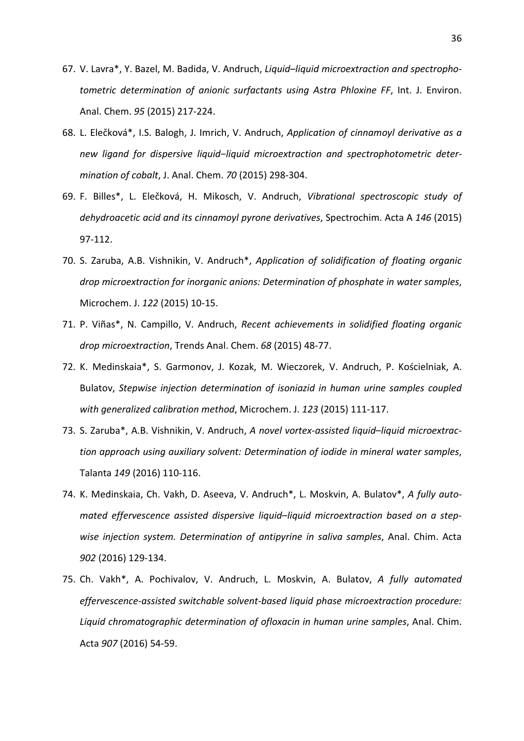- 67. V. Lavra\*, Y. Bazel, M. Badida, V. Andruch, *Liquid*–*liquid microextraction and spectrophotometric determination of anionic surfactants using Astra Phloxine FF*, Int. J. Environ. Anal. Chem. *95* (2015) 217-224.
- 68. L. Elečková\*, I.S. Balogh, J. Imrich, V. Andruch, *Application of cinnamoyl derivative as a new ligand for dispersive liquid−liquid microextraction and spectrophotometric determination of cobalt*, J. Anal. Chem. *70* (2015) 298-304.
- 69. F. Billes\*, L. Elečková, H. Mikosch, V. Andruch, *Vibrational spectroscopic study of dehydroacetic acid and its cinnamoyl pyrone derivatives*, Spectrochim. Acta A *146* (2015) 97-112.
- 70. S. Zaruba, A.B. Vishnikin, V. Andruch\*, *Application of solidification of floating organic drop microextraction for inorganic anions: Determination of phosphate in water samples*, Microchem. J. *122* (2015) 10-15.
- 71. P. Viñas\*, N. Campillo, V. Andruch, *Recent achievements in solidified floating organic drop microextraction*, Trends Anal. Chem. *68* (2015) 48-77.
- 72. K. Medinskaia\*, S. Garmonov, J. Kozak, M. Wieczorek, V. Andruch, P. Kościelniak, A. Bulatov, *Stepwise injection determination of isoniazid in human urine samples coupled with generalized calibration method*, Microchem. J. *123* (2015) 111-117.
- 73. S. Zaruba\*, A.B. Vishnikin, V. Andruch, *A novel vortex-assisted liquid*–*liquid microextraction approach using auxiliary solvent: Determination of iodide in mineral water samples*, Talanta *149* (2016) 110-116.
- 74. K. Medinskaia, Ch. Vakh, D. Aseeva, V. Andruch\*, L. Moskvin, A. Bulatov\*, *A fully automated effervescence assisted dispersive liquid*–*liquid microextraction based on a stepwise injection system. Determination of antipyrine in saliva samples*, Anal. Chim. Acta *902* (2016) 129-134.
- 75. Ch. Vakh\*, A. Pochivalov, V. Andruch, L. Moskvin, A. Bulatov, *A fully automated effervescence-assisted switchable solvent-based liquid phase microextraction procedure: Liquid chromatographic determination of ofloxacin in human urine samples*, Anal. Chim. Acta *907* (2016) 54-59.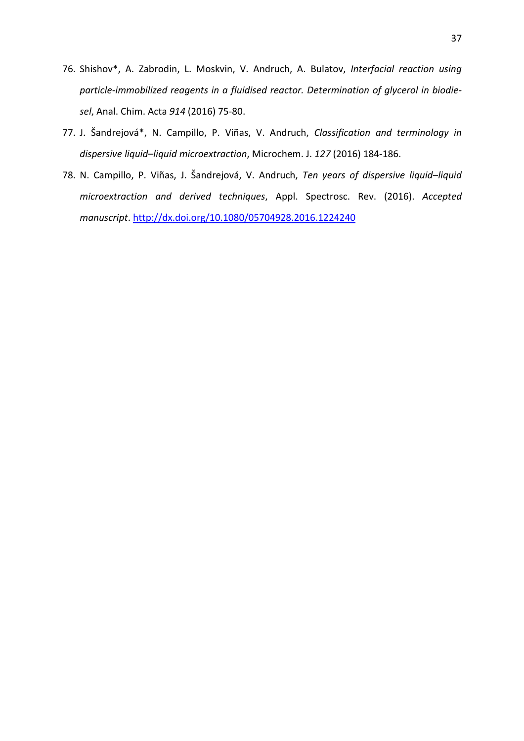- 76. Shishov\*, A. Zabrodin, L. Moskvin, V. Andruch, A. Bulatov, *Interfacial reaction using particle-immobilized reagents in a fluidised reactor. Determination of glycerol in biodiesel*, Anal. Chim. Acta *914* (2016) 75-80.
- 77. J. Šandrejová\*, N. Campillo, P. Viñas, V. Andruch, *Classification and terminology in dispersive liquid*–*liquid microextraction*, Microchem. J. *127* (2016) 184-186.
- 78. N. Campillo, P. Viñas, J. Šandrejová, V. Andruch, *Ten years of dispersive liquid–liquid microextraction and derived techniques*, Appl. Spectrosc. Rev. (2016). *Accepted manuscript*. http://dx.doi.org/10.1080/05704928.2016.1224240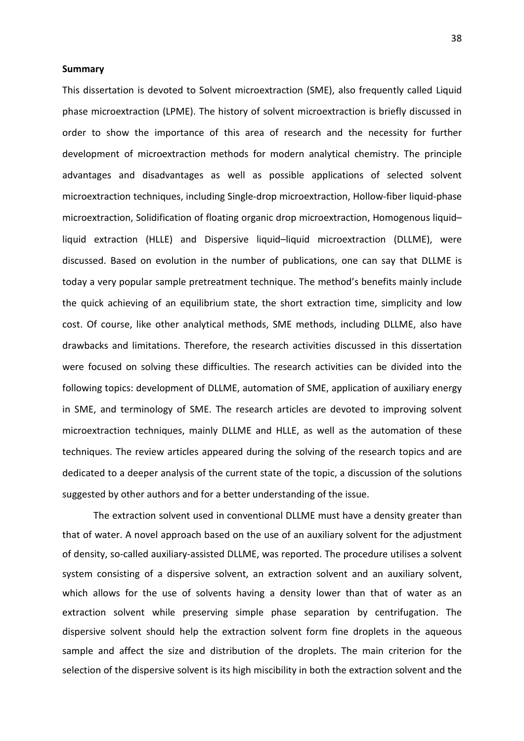# **Summary**

This dissertation is devoted to Solvent microextraction (SME), also frequently called Liquid phase microextraction (LPME). The history of solvent microextraction is briefly discussed in order to show the importance of this area of research and the necessity for further development of microextraction methods for modern analytical chemistry. The principle advantages and disadvantages as well as possible applications of selected solvent microextraction techniques, including Single-drop microextraction, Hollow-fiber liquid-phase microextraction, Solidification of floating organic drop microextraction, Homogenous liquid– liquid extraction (HLLE) and Dispersive liquid–liquid microextraction (DLLME), were discussed. Based on evolution in the number of publications, one can say that DLLME is today a very popular sample pretreatment technique. The method's benefits mainly include the quick achieving of an equilibrium state, the short extraction time, simplicity and low cost. Of course, like other analytical methods, SME methods, including DLLME, also have drawbacks and limitations. Therefore, the research activities discussed in this dissertation were focused on solving these difficulties. The research activities can be divided into the following topics: development of DLLME, automation of SME, application of auxiliary energy in SME, and terminology of SME. The research articles are devoted to improving solvent microextraction techniques, mainly DLLME and HLLE, as well as the automation of these techniques. The review articles appeared during the solving of the research topics and are dedicated to a deeper analysis of the current state of the topic, a discussion of the solutions suggested by other authors and for a better understanding of the issue.

The extraction solvent used in conventional DLLME must have a density greater than that of water. A novel approach based on the use of an auxiliary solvent for the adjustment of density, so-called auxiliary-assisted DLLME, was reported. The procedure utilises a solvent system consisting of a dispersive solvent, an extraction solvent and an auxiliary solvent, which allows for the use of solvents having a density lower than that of water as an extraction solvent while preserving simple phase separation by centrifugation. The dispersive solvent should help the extraction solvent form fine droplets in the aqueous sample and affect the size and distribution of the droplets. The main criterion for the selection of the dispersive solvent is its high miscibility in both the extraction solvent and the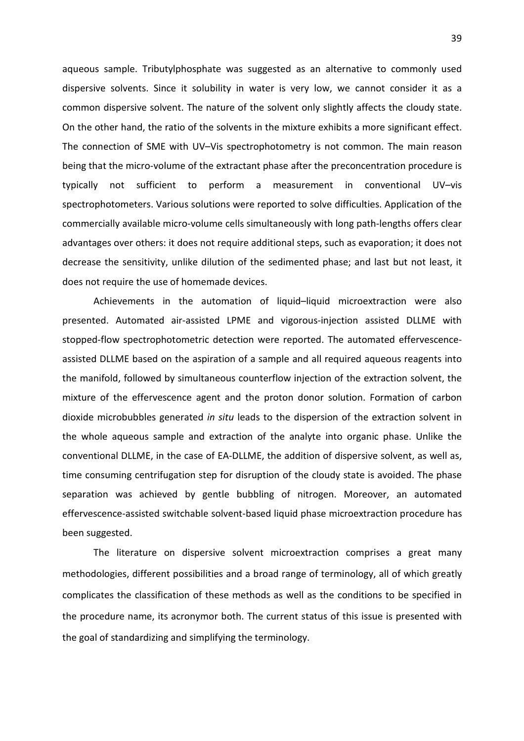aqueous sample. Tributylphosphate was suggested as an alternative to commonly used dispersive solvents. Since it solubility in water is very low, we cannot consider it as a common dispersive solvent. The nature of the solvent only slightly affects the cloudy state. On the other hand, the ratio of the solvents in the mixture exhibits a more significant effect. The connection of SME with UV–Vis spectrophotometry is not common. The main reason being that the micro-volume of the extractant phase after the preconcentration procedure is typically not sufficient to perform a measurement in conventional UV–vis spectrophotometers. Various solutions were reported to solve difficulties. Application of the commercially available micro-volume cells simultaneously with long path-lengths offers clear advantages over others: it does not require additional steps, such as evaporation; it does not decrease the sensitivity, unlike dilution of the sedimented phase; and last but not least, it does not require the use of homemade devices.

Achievements in the automation of liquid–liquid microextraction were also presented. Automated air-assisted LPME and vigorous-injection assisted DLLME with stopped-flow spectrophotometric detection were reported. The automated effervescenceassisted DLLME based on the aspiration of a sample and all required aqueous reagents into the manifold, followed by simultaneous counterflow injection of the extraction solvent, the mixture of the effervescence agent and the proton donor solution. Formation of carbon dioxide microbubbles generated *in situ* leads to the dispersion of the extraction solvent in the whole aqueous sample and extraction of the analyte into organic phase. Unlike the conventional DLLME, in the case of EA-DLLME, the addition of dispersive solvent, as well as, time consuming centrifugation step for disruption of the cloudy state is avoided. The phase separation was achieved by gentle bubbling of nitrogen. Moreover, an automated effervescence-assisted switchable solvent-based liquid phase microextraction procedure has been suggested.

The literature on dispersive solvent microextraction comprises a great many methodologies, different possibilities and a broad range of terminology, all of which greatly complicates the classification of these methods as well as the conditions to be specified in the procedure name, its acronymor both. The current status of this issue is presented with the goal of standardizing and simplifying the terminology.